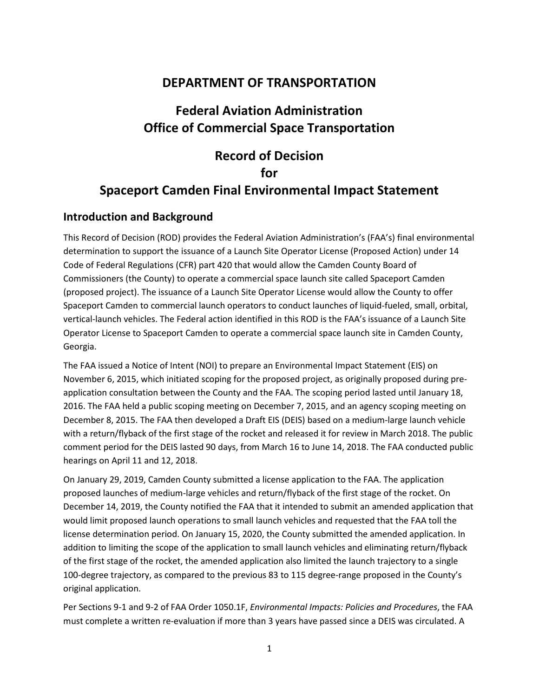## **DEPARTMENT OF TRANSPORTATION**

# **Federal Aviation Administration Office of Commercial Space Transportation**

# **Record of Decision**

## **for**

## **Spaceport Camden Final Environmental Impact Statement**

## **Introduction and Background**

This Record of Decision (ROD) provides the Federal Aviation Administration's (FAA's) final environmental determination to support the issuance of a Launch Site Operator License (Proposed Action) under 14 Code of Federal Regulations (CFR) part 420 that would allow the Camden County Board of Commissioners (the County) to operate a commercial space launch site called Spaceport Camden (proposed project). The issuance of a Launch Site Operator License would allow the County to offer Spaceport Camden to commercial launch operators to conduct launches of liquid-fueled, small, orbital, vertical-launch vehicles. The Federal action identified in this ROD is the FAA's issuance of a Launch Site Operator License to Spaceport Camden to operate a commercial space launch site in Camden County, Georgia.

The FAA issued a Notice of Intent (NOI) to prepare an Environmental Impact Statement (EIS) on November 6, 2015, which initiated scoping for the proposed project, as originally proposed during preapplication consultation between the County and the FAA. The scoping period lasted until January 18, 2016. The FAA held a public scoping meeting on December 7, 2015, and an agency scoping meeting on December 8, 2015. The FAA then developed a Draft EIS (DEIS) based on a medium-large launch vehicle with a return/flyback of the first stage of the rocket and released it for review in March 2018. The public comment period for the DEIS lasted 90 days, from March 16 to June 14, 2018. The FAA conducted public hearings on April 11 and 12, 2018.

On January 29, 2019, Camden County submitted a license application to the FAA. The application proposed launches of medium-large vehicles and return/flyback of the first stage of the rocket. On December 14, 2019, the County notified the FAA that it intended to submit an amended application that would limit proposed launch operations to small launch vehicles and requested that the FAA toll the license determination period. On January 15, 2020, the County submitted the amended application. In addition to limiting the scope of the application to small launch vehicles and eliminating return/flyback of the first stage of the rocket, the amended application also limited the launch trajectory to a single 100-degree trajectory, as compared to the previous 83 to 115 degree-range proposed in the County's original application.

Per Sections 9-1 and 9-2 of FAA Order 1050.1F, *Environmental Impacts: Policies and Procedures*, the FAA must complete a written re-evaluation if more than 3 years have passed since a DEIS was circulated. A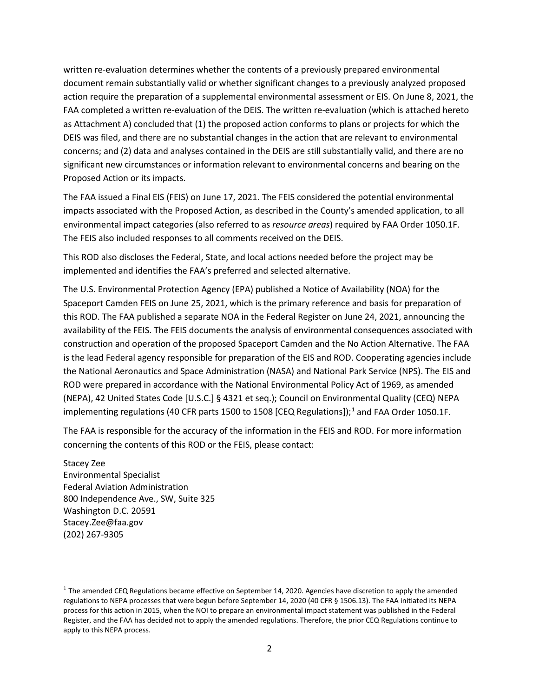written re-evaluation determines whether the contents of a previously prepared environmental document remain substantially valid or whether significant changes to a previously analyzed proposed action require the preparation of a supplemental environmental assessment or EIS. On June 8, 2021, the FAA completed a written re-evaluation of the DEIS. The written re-evaluation (which is attached hereto as Attachment A) concluded that (1) the proposed action conforms to plans or projects for which the DEIS was filed, and there are no substantial changes in the action that are relevant to environmental concerns; and (2) data and analyses contained in the DEIS are still substantially valid, and there are no significant new circumstances or information relevant to environmental concerns and bearing on the Proposed Action or its impacts.

The FAA issued a Final EIS (FEIS) on June 17, 2021. The FEIS considered the potential environmental impacts associated with the Proposed Action, as described in the County's amended application, to all environmental impact categories (also referred to as *resource areas*) required by FAA Order 1050.1F. The FEIS also included responses to all comments received on the DEIS.

This ROD also discloses the Federal, State, and local actions needed before the project may be implemented and identifies the FAA's preferred and selected alternative.

The U.S. Environmental Protection Agency (EPA) published a Notice of Availability (NOA) for the Spaceport Camden FEIS on June 25, 2021, which is the primary reference and basis for preparation of this ROD. The FAA published a separate NOA in the Federal Register on June 24, 2021, announcing the availability of the FEIS. The FEIS documents the analysis of environmental consequences associated with construction and operation of the proposed Spaceport Camden and the No Action Alternative. The FAA is the lead Federal agency responsible for preparation of the EIS and ROD. Cooperating agencies include the National Aeronautics and Space Administration (NASA) and National Park Service (NPS). The EIS and ROD were prepared in accordance with the National Environmental Policy Act of 1969, as amended (NEPA), 42 United States Code [U.S.C.] § 4321 et seq.); Council on Environmental Quality (CEQ) NEPA implementing regulations (40 CFR parts [1](#page-1-0)500 to 1508 [CEQ Regulations]);<sup>1</sup> and FAA Order 1050.1F.

The FAA is responsible for the accuracy of the information in the FEIS and ROD. For more information concerning the contents of this ROD or the FEIS, please contact:

Stacey Zee Environmental Specialist Federal Aviation Administration 800 Independence Ave., SW, Suite 325 Washington D.C. 20591 Stacey.Zee@faa.gov (202) 267-9305

 $\overline{a}$ 

<span id="page-1-0"></span> $1$  The amended CEQ Regulations became effective on September 14, 2020. Agencies have discretion to apply the amended regulations to NEPA processes that were begun before September 14, 2020 (40 CFR § 1506.13). The FAA initiated its NEPA process for this action in 2015, when the NOI to prepare an environmental impact statement was published in the Federal Register, and the FAA has decided not to apply the amended regulations. Therefore, the prior CEQ Regulations continue to apply to this NEPA process.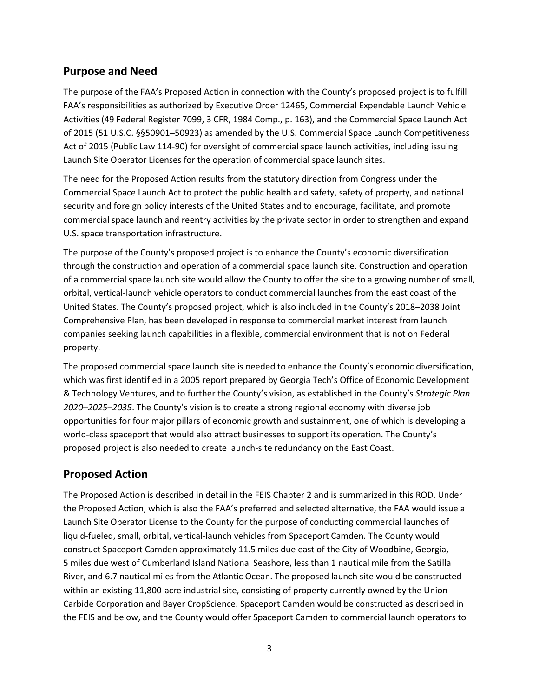## **Purpose and Need**

The purpose of the FAA's Proposed Action in connection with the County's proposed project is to fulfill FAA's responsibilities as authorized by Executive Order 12465, Commercial Expendable Launch Vehicle Activities (49 Federal Register 7099, 3 CFR, 1984 Comp., p. 163), and the Commercial Space Launch Act of 2015 (51 U.S.C. §§50901–50923) as amended by the U.S. Commercial Space Launch Competitiveness Act of 2015 (Public Law 114-90) for oversight of commercial space launch activities, including issuing Launch Site Operator Licenses for the operation of commercial space launch sites.

The need for the Proposed Action results from the statutory direction from Congress under the Commercial Space Launch Act to protect the public health and safety, safety of property, and national security and foreign policy interests of the United States and to encourage, facilitate, and promote commercial space launch and reentry activities by the private sector in order to strengthen and expand U.S. space transportation infrastructure.

The purpose of the County's proposed project is to enhance the County's economic diversification through the construction and operation of a commercial space launch site. Construction and operation of a commercial space launch site would allow the County to offer the site to a growing number of small, orbital, vertical-launch vehicle operators to conduct commercial launches from the east coast of the United States. The County's proposed project, which is also included in the County's 2018–2038 Joint Comprehensive Plan, has been developed in response to commercial market interest from launch companies seeking launch capabilities in a flexible, commercial environment that is not on Federal property.

The proposed commercial space launch site is needed to enhance the County's economic diversification, which was first identified in a 2005 report prepared by Georgia Tech's Office of Economic Development & Technology Ventures, and to further the County's vision, as established in the County's *Strategic Plan 2020–2025–2035*. The County's vision is to create a strong regional economy with diverse job opportunities for four major pillars of economic growth and sustainment, one of which is developing a world-class spaceport that would also attract businesses to support its operation. The County's proposed project is also needed to create launch-site redundancy on the East Coast.

## **Proposed Action**

The Proposed Action is described in detail in the FEIS Chapter 2 and is summarized in this ROD. Under the Proposed Action, which is also the FAA's preferred and selected alternative, the FAA would issue a Launch Site Operator License to the County for the purpose of conducting commercial launches of liquid-fueled, small, orbital, vertical-launch vehicles from Spaceport Camden. The County would construct Spaceport Camden approximately 11.5 miles due east of the City of Woodbine, Georgia, 5 miles due west of Cumberland Island National Seashore, less than 1 nautical mile from the Satilla River, and 6.7 nautical miles from the Atlantic Ocean. The proposed launch site would be constructed within an existing 11,800-acre industrial site, consisting of property currently owned by the Union Carbide Corporation and Bayer CropScience. Spaceport Camden would be constructed as described in the FEIS and below, and the County would offer Spaceport Camden to commercial launch operators to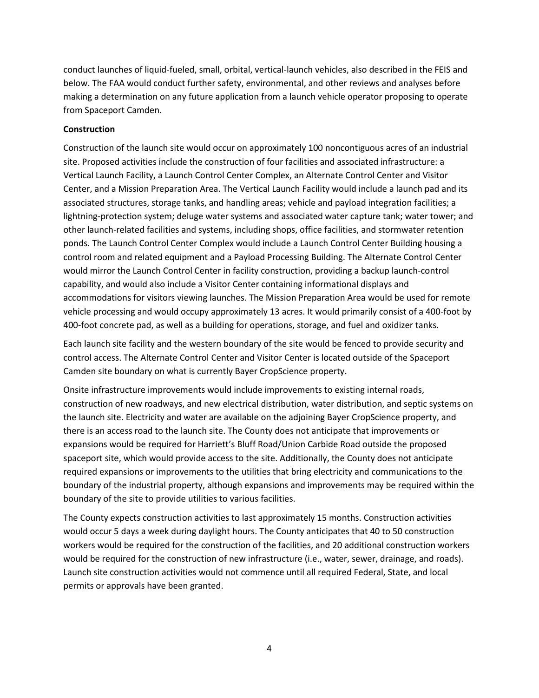conduct launches of liquid-fueled, small, orbital, vertical-launch vehicles, also described in the FEIS and below. The FAA would conduct further safety, environmental, and other reviews and analyses before making a determination on any future application from a launch vehicle operator proposing to operate from Spaceport Camden.

### **Construction**

Construction of the launch site would occur on approximately 100 noncontiguous acres of an industrial site. Proposed activities include the construction of four facilities and associated infrastructure: a Vertical Launch Facility, a Launch Control Center Complex, an Alternate Control Center and Visitor Center, and a Mission Preparation Area. The Vertical Launch Facility would include a launch pad and its associated structures, storage tanks, and handling areas; vehicle and payload integration facilities; a lightning-protection system; deluge water systems and associated water capture tank; water tower; and other launch-related facilities and systems, including shops, office facilities, and stormwater retention ponds. The Launch Control Center Complex would include a Launch Control Center Building housing a control room and related equipment and a Payload Processing Building. The Alternate Control Center would mirror the Launch Control Center in facility construction, providing a backup launch-control capability, and would also include a Visitor Center containing informational displays and accommodations for visitors viewing launches. The Mission Preparation Area would be used for remote vehicle processing and would occupy approximately 13 acres. It would primarily consist of a 400-foot by 400-foot concrete pad, as well as a building for operations, storage, and fuel and oxidizer tanks.

Each launch site facility and the western boundary of the site would be fenced to provide security and control access. The Alternate Control Center and Visitor Center is located outside of the Spaceport Camden site boundary on what is currently Bayer CropScience property.

Onsite infrastructure improvements would include improvements to existing internal roads, construction of new roadways, and new electrical distribution, water distribution, and septic systems on the launch site. Electricity and water are available on the adjoining Bayer CropScience property, and there is an access road to the launch site. The County does not anticipate that improvements or expansions would be required for Harriett's Bluff Road/Union Carbide Road outside the proposed spaceport site, which would provide access to the site. Additionally, the County does not anticipate required expansions or improvements to the utilities that bring electricity and communications to the boundary of the industrial property, although expansions and improvements may be required within the boundary of the site to provide utilities to various facilities.

The County expects construction activities to last approximately 15 months. Construction activities would occur 5 days a week during daylight hours. The County anticipates that 40 to 50 construction workers would be required for the construction of the facilities, and 20 additional construction workers would be required for the construction of new infrastructure (i.e., water, sewer, drainage, and roads). Launch site construction activities would not commence until all required Federal, State, and local permits or approvals have been granted.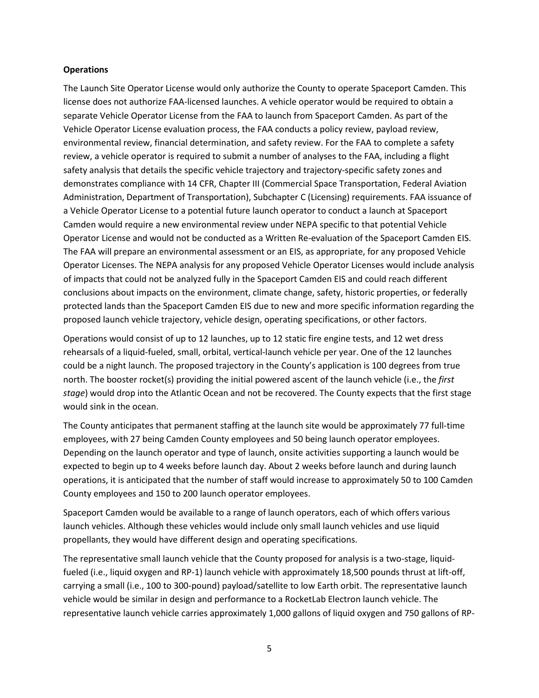#### **Operations**

The Launch Site Operator License would only authorize the County to operate Spaceport Camden. This license does not authorize FAA-licensed launches. A vehicle operator would be required to obtain a separate Vehicle Operator License from the FAA to launch from Spaceport Camden. As part of the Vehicle Operator License evaluation process, the FAA conducts a policy review, payload review, environmental review, financial determination, and safety review. For the FAA to complete a safety review, a vehicle operator is required to submit a number of analyses to the FAA, including a flight safety analysis that details the specific vehicle trajectory and trajectory-specific safety zones and demonstrates compliance with 14 CFR, Chapter III (Commercial Space Transportation, Federal Aviation Administration, Department of Transportation), Subchapter C (Licensing) requirements. FAA issuance of a Vehicle Operator License to a potential future launch operator to conduct a launch at Spaceport Camden would require a new environmental review under NEPA specific to that potential Vehicle Operator License and would not be conducted as a Written Re-evaluation of the Spaceport Camden EIS. The FAA will prepare an environmental assessment or an EIS, as appropriate, for any proposed Vehicle Operator Licenses. The NEPA analysis for any proposed Vehicle Operator Licenses would include analysis of impacts that could not be analyzed fully in the Spaceport Camden EIS and could reach different conclusions about impacts on the environment, climate change, safety, historic properties, or federally protected lands than the Spaceport Camden EIS due to new and more specific information regarding the proposed launch vehicle trajectory, vehicle design, operating specifications, or other factors.

Operations would consist of up to 12 launches, up to 12 static fire engine tests, and 12 wet dress rehearsals of a liquid-fueled, small, orbital, vertical-launch vehicle per year. One of the 12 launches could be a night launch. The proposed trajectory in the County's application is 100 degrees from true north. The booster rocket(s) providing the initial powered ascent of the launch vehicle (i.e., the *first stage*) would drop into the Atlantic Ocean and not be recovered. The County expects that the first stage would sink in the ocean.

The County anticipates that permanent staffing at the launch site would be approximately 77 full-time employees, with 27 being Camden County employees and 50 being launch operator employees. Depending on the launch operator and type of launch, onsite activities supporting a launch would be expected to begin up to 4 weeks before launch day. About 2 weeks before launch and during launch operations, it is anticipated that the number of staff would increase to approximately 50 to 100 Camden County employees and 150 to 200 launch operator employees.

Spaceport Camden would be available to a range of launch operators, each of which offers various launch vehicles. Although these vehicles would include only small launch vehicles and use liquid propellants, they would have different design and operating specifications.

The representative small launch vehicle that the County proposed for analysis is a two-stage, liquidfueled (i.e., liquid oxygen and RP-1) launch vehicle with approximately 18,500 pounds thrust at lift-off, carrying a small (i.e., 100 to 300-pound) payload/satellite to low Earth orbit. The representative launch vehicle would be similar in design and performance to a RocketLab Electron launch vehicle. The representative launch vehicle carries approximately 1,000 gallons of liquid oxygen and 750 gallons of RP-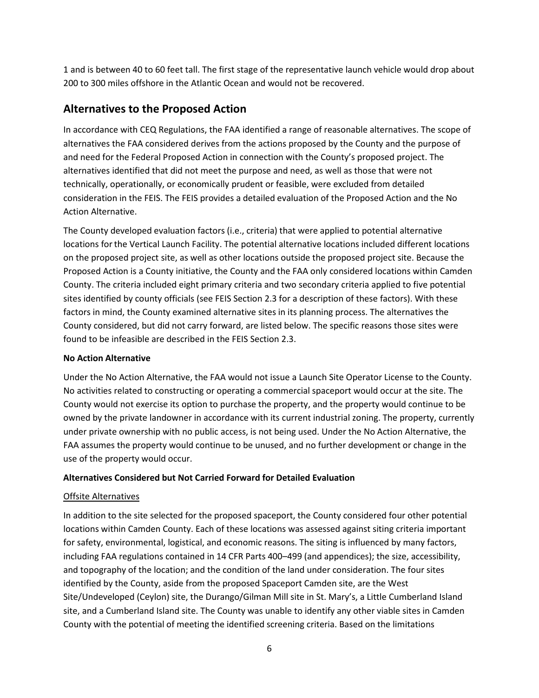1 and is between 40 to 60 feet tall. The first stage of the representative launch vehicle would drop about 200 to 300 miles offshore in the Atlantic Ocean and would not be recovered.

## **Alternatives to the Proposed Action**

In accordance with CEQ Regulations, the FAA identified a range of reasonable alternatives. The scope of alternatives the FAA considered derives from the actions proposed by the County and the purpose of and need for the Federal Proposed Action in connection with the County's proposed project. The alternatives identified that did not meet the purpose and need, as well as those that were not technically, operationally, or economically prudent or feasible, were excluded from detailed consideration in the FEIS. The FEIS provides a detailed evaluation of the Proposed Action and the No Action Alternative.

The County developed evaluation factors (i.e., criteria) that were applied to potential alternative locations forthe Vertical Launch Facility. The potential alternative locations included different locations on the proposed project site, as well as other locations outside the proposed project site. Because the Proposed Action is a County initiative, the County and the FAA only considered locations within Camden County. The criteria included eight primary criteria and two secondary criteria applied to five potential sites identified by county officials (see FEIS Section 2.3 for a description of these factors). With these factors in mind, the County examined alternative sites in its planning process. The alternatives the County considered, but did not carry forward, are listed below. The specific reasons those sites were found to be infeasible are described in the FEIS Section 2.3.

## **No Action Alternative**

Under the No Action Alternative, the FAA would not issue a Launch Site Operator License to the County. No activities related to constructing or operating a commercial spaceport would occur at the site. The County would not exercise its option to purchase the property, and the property would continue to be owned by the private landowner in accordance with its current industrial zoning. The property, currently under private ownership with no public access, is not being used. Under the No Action Alternative, the FAA assumes the property would continue to be unused, and no further development or change in the use of the property would occur.

## **Alternatives Considered but Not Carried Forward for Detailed Evaluation**

## Offsite Alternatives

In addition to the site selected for the proposed spaceport, the County considered four other potential locations within Camden County. Each of these locations was assessed against siting criteria important for safety, environmental, logistical, and economic reasons. The siting is influenced by many factors, including FAA regulations contained in 14 CFR Parts 400–499 (and appendices); the size, accessibility, and topography of the location; and the condition of the land under consideration. The four sites identified by the County, aside from the proposed Spaceport Camden site, are the West Site/Undeveloped (Ceylon) site, the Durango/Gilman Mill site in St. Mary's, a Little Cumberland Island site, and a Cumberland Island site. The County was unable to identify any other viable sites in Camden County with the potential of meeting the identified screening criteria. Based on the limitations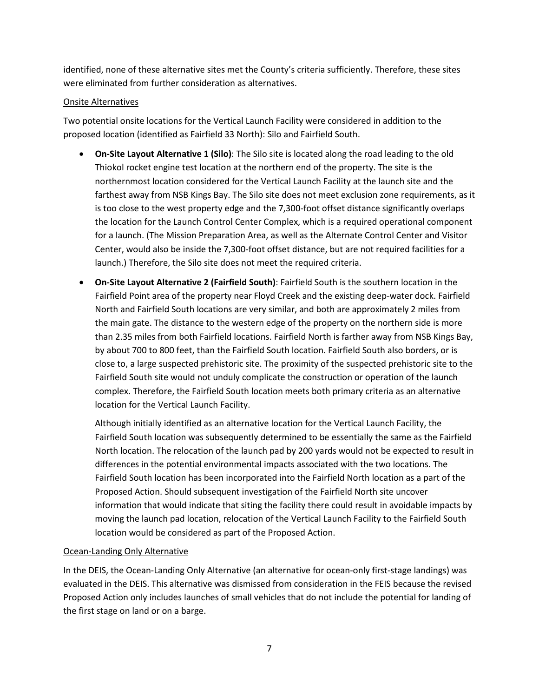identified, none of these alternative sites met the County's criteria sufficiently. Therefore, these sites were eliminated from further consideration as alternatives.

### Onsite Alternatives

Two potential onsite locations for the Vertical Launch Facility were considered in addition to the proposed location (identified as Fairfield 33 North): Silo and Fairfield South.

- **On-Site Layout Alternative 1 (Silo)**: The Silo site is located along the road leading to the old Thiokol rocket engine test location at the northern end of the property. The site is the northernmost location considered for the Vertical Launch Facility at the launch site and the farthest away from NSB Kings Bay. The Silo site does not meet exclusion zone requirements, as it is too close to the west property edge and the 7,300-foot offset distance significantly overlaps the location for the Launch Control Center Complex, which is a required operational component for a launch. (The Mission Preparation Area, as well as the Alternate Control Center and Visitor Center, would also be inside the 7,300-foot offset distance, but are not required facilities for a launch.) Therefore, the Silo site does not meet the required criteria.
- **On-Site Layout Alternative 2 (Fairfield South)**: Fairfield South is the southern location in the Fairfield Point area of the property near Floyd Creek and the existing deep-water dock. Fairfield North and Fairfield South locations are very similar, and both are approximately 2 miles from the main gate. The distance to the western edge of the property on the northern side is more than 2.35 miles from both Fairfield locations. Fairfield North is farther away from NSB Kings Bay, by about 700 to 800 feet, than the Fairfield South location. Fairfield South also borders, or is close to, a large suspected prehistoric site. The proximity of the suspected prehistoric site to the Fairfield South site would not unduly complicate the construction or operation of the launch complex. Therefore, the Fairfield South location meets both primary criteria as an alternative location for the Vertical Launch Facility.

Although initially identified as an alternative location for the Vertical Launch Facility, the Fairfield South location was subsequently determined to be essentially the same as the Fairfield North location. The relocation of the launch pad by 200 yards would not be expected to result in differences in the potential environmental impacts associated with the two locations. The Fairfield South location has been incorporated into the Fairfield North location as a part of the Proposed Action. Should subsequent investigation of the Fairfield North site uncover information that would indicate that siting the facility there could result in avoidable impacts by moving the launch pad location, relocation of the Vertical Launch Facility to the Fairfield South location would be considered as part of the Proposed Action.

### Ocean-Landing Only Alternative

In the DEIS, the Ocean-Landing Only Alternative (an alternative for ocean-only first-stage landings) was evaluated in the DEIS. This alternative was dismissed from consideration in the FEIS because the revised Proposed Action only includes launches of small vehicles that do not include the potential for landing of the first stage on land or on a barge.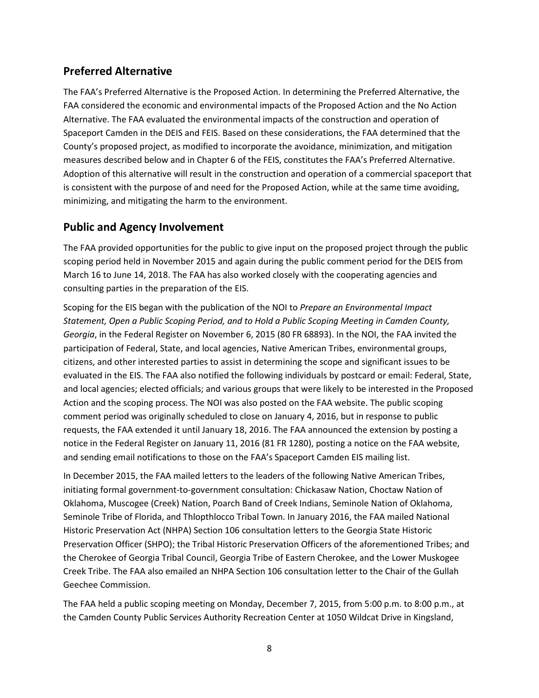## **Preferred Alternative**

The FAA's Preferred Alternative is the Proposed Action. In determining the Preferred Alternative, the FAA considered the economic and environmental impacts of the Proposed Action and the No Action Alternative. The FAA evaluated the environmental impacts of the construction and operation of Spaceport Camden in the DEIS and FEIS. Based on these considerations, the FAA determined that the County's proposed project, as modified to incorporate the avoidance, minimization, and mitigation measures described below and in Chapter 6 of the FEIS, constitutes the FAA's Preferred Alternative. Adoption of this alternative will result in the construction and operation of a commercial spaceport that is consistent with the purpose of and need for the Proposed Action, while at the same time avoiding, minimizing, and mitigating the harm to the environment.

## **Public and Agency Involvement**

The FAA provided opportunities for the public to give input on the proposed project through the public scoping period held in November 2015 and again during the public comment period for the DEIS from March 16 to June 14, 2018. The FAA has also worked closely with the cooperating agencies and consulting parties in the preparation of the EIS.

Scoping for the EIS began with the publication of the NOI to *Prepare an Environmental Impact Statement, Open a Public Scoping Period, and to Hold a Public Scoping Meeting in Camden County, Georgia*, in the Federal Register on November 6, 2015 (80 FR 68893). In the NOI, the FAA invited the participation of Federal, State, and local agencies, Native American Tribes, environmental groups, citizens, and other interested parties to assist in determining the scope and significant issues to be evaluated in the EIS. The FAA also notified the following individuals by postcard or email: Federal, State, and local agencies; elected officials; and various groups that were likely to be interested in the Proposed Action and the scoping process. The NOI was also posted on the FAA website. The public scoping comment period was originally scheduled to close on January 4, 2016, but in response to public requests, the FAA extended it until January 18, 2016. The FAA announced the extension by posting a notice in the Federal Register on January 11, 2016 (81 FR 1280), posting a notice on the FAA website, and sending email notifications to those on the FAA's Spaceport Camden EIS mailing list.

In December 2015, the FAA mailed letters to the leaders of the following Native American Tribes, initiating formal government-to-government consultation: Chickasaw Nation, Choctaw Nation of Oklahoma, Muscogee (Creek) Nation, Poarch Band of Creek Indians, Seminole Nation of Oklahoma, Seminole Tribe of Florida, and Thlopthlocco Tribal Town. In January 2016, the FAA mailed National Historic Preservation Act (NHPA) Section 106 consultation letters to the Georgia State Historic Preservation Officer (SHPO); the Tribal Historic Preservation Officers of the aforementioned Tribes; and the Cherokee of Georgia Tribal Council, Georgia Tribe of Eastern Cherokee, and the Lower Muskogee Creek Tribe. The FAA also emailed an NHPA Section 106 consultation letter to the Chair of the Gullah Geechee Commission.

The FAA held a public scoping meeting on Monday, December 7, 2015, from 5:00 p.m. to 8:00 p.m., at the Camden County Public Services Authority Recreation Center at 1050 Wildcat Drive in Kingsland,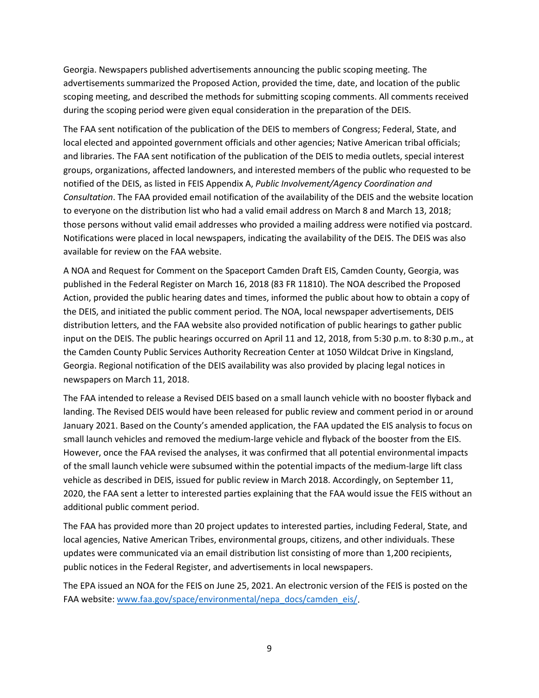Georgia. Newspapers published advertisements announcing the public scoping meeting. The advertisements summarized the Proposed Action, provided the time, date, and location of the public scoping meeting, and described the methods for submitting scoping comments. All comments received during the scoping period were given equal consideration in the preparation of the DEIS.

The FAA sent notification of the publication of the DEIS to members of Congress; Federal, State, and local elected and appointed government officials and other agencies; Native American tribal officials; and libraries. The FAA sent notification of the publication of the DEIS to media outlets, special interest groups, organizations, affected landowners, and interested members of the public who requested to be notified of the DEIS, as listed in FEIS Appendix A, *Public Involvement/Agency Coordination and Consultation*. The FAA provided email notification of the availability of the DEIS and the website location to everyone on the distribution list who had a valid email address on March 8 and March 13, 2018; those persons without valid email addresses who provided a mailing address were notified via postcard. Notifications were placed in local newspapers, indicating the availability of the DEIS. The DEIS was also available for review on the FAA website.

A NOA and Request for Comment on the Spaceport Camden Draft EIS, Camden County, Georgia, was published in the Federal Register on March 16, 2018 (83 FR 11810). The NOA described the Proposed Action, provided the public hearing dates and times, informed the public about how to obtain a copy of the DEIS, and initiated the public comment period. The NOA, local newspaper advertisements, DEIS distribution letters, and the FAA website also provided notification of public hearings to gather public input on the DEIS. The public hearings occurred on April 11 and 12, 2018, from 5:30 p.m. to 8:30 p.m., at the Camden County Public Services Authority Recreation Center at 1050 Wildcat Drive in Kingsland, Georgia. Regional notification of the DEIS availability was also provided by placing legal notices in newspapers on March 11, 2018.

The FAA intended to release a Revised DEIS based on a small launch vehicle with no booster flyback and landing. The Revised DEIS would have been released for public review and comment period in or around January 2021. Based on the County's amended application, the FAA updated the EIS analysis to focus on small launch vehicles and removed the medium-large vehicle and flyback of the booster from the EIS. However, once the FAA revised the analyses, it was confirmed that all potential environmental impacts of the small launch vehicle were subsumed within the potential impacts of the medium-large lift class vehicle as described in DEIS, issued for public review in March 2018. Accordingly, on September 11, 2020, the FAA sent a letter to interested parties explaining that the FAA would issue the FEIS without an additional public comment period.

The FAA has provided more than 20 project updates to interested parties, including Federal, State, and local agencies, Native American Tribes, environmental groups, citizens, and other individuals. These updates were communicated via an email distribution list consisting of more than 1,200 recipients, public notices in the Federal Register, and advertisements in local newspapers.

The EPA issued an NOA for the FEIS on June 25, 2021. An electronic version of the FEIS is posted on the FAA website: [www.faa.gov/space/environmental/nepa\\_docs/camden\\_eis/.](http://www.faa.gov/space/environmental/nepa_docs/camden_eis/)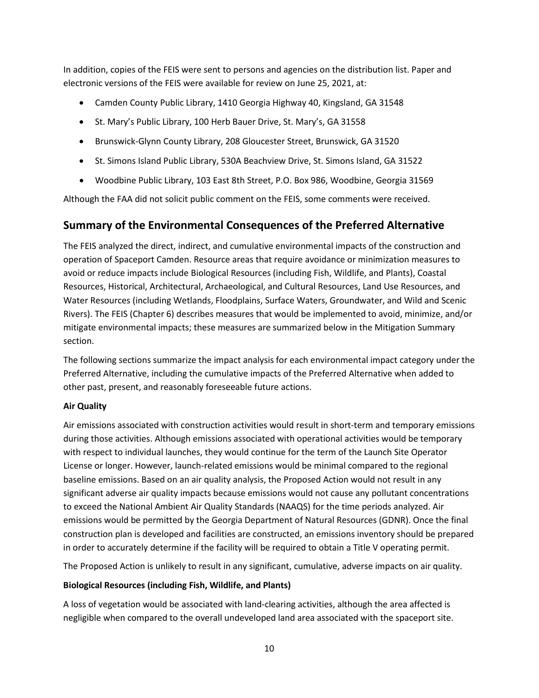In addition, copies of the FEIS were sent to persons and agencies on the distribution list. Paper and electronic versions of the FEIS were available for review on June 25, 2021, at:

- Camden County Public Library, 1410 Georgia Highway 40, Kingsland, GA 31548
- St. Mary's Public Library, 100 Herb Bauer Drive, St. Mary's, GA 31558
- Brunswick-Glynn County Library, 208 Gloucester Street, Brunswick, GA 31520
- St. Simons Island Public Library, 530A Beachview Drive, St. Simons Island, GA 31522
- Woodbine Public Library, 103 East 8th Street, P.O. Box 986, Woodbine, Georgia 31569

Although the FAA did not solicit public comment on the FEIS, some comments were received.

## **Summary of the Environmental Consequences of the Preferred Alternative**

The FEIS analyzed the direct, indirect, and cumulative environmental impacts of the construction and operation of Spaceport Camden. Resource areas that require avoidance or minimization measures to avoid or reduce impacts include Biological Resources (including Fish, Wildlife, and Plants), Coastal Resources, Historical, Architectural, Archaeological, and Cultural Resources, Land Use Resources, and Water Resources (including Wetlands, Floodplains, Surface Waters, Groundwater, and Wild and Scenic Rivers). The FEIS (Chapter 6) describes measures that would be implemented to avoid, minimize, and/or mitigate environmental impacts; these measures are summarized below in the Mitigation Summary section.

The following sections summarize the impact analysis for each environmental impact category under the Preferred Alternative, including the cumulative impacts of the Preferred Alternative when added to other past, present, and reasonably foreseeable future actions.

## **Air Quality**

Air emissions associated with construction activities would result in short-term and temporary emissions during those activities. Although emissions associated with operational activities would be temporary with respect to individual launches, they would continue for the term of the Launch Site Operator License or longer. However, launch-related emissions would be minimal compared to the regional baseline emissions. Based on an air quality analysis, the Proposed Action would not result in any significant adverse air quality impacts because emissions would not cause any pollutant concentrations to exceed the National Ambient Air Quality Standards (NAAQS) for the time periods analyzed. Air emissions would be permitted by the Georgia Department of Natural Resources (GDNR). Once the final construction plan is developed and facilities are constructed, an emissions inventory should be prepared in order to accurately determine if the facility will be required to obtain a Title V operating permit.

The Proposed Action is unlikely to result in any significant, cumulative, adverse impacts on air quality.

## **Biological Resources (including Fish, Wildlife, and Plants)**

A loss of vegetation would be associated with land-clearing activities, although the area affected is negligible when compared to the overall undeveloped land area associated with the spaceport site.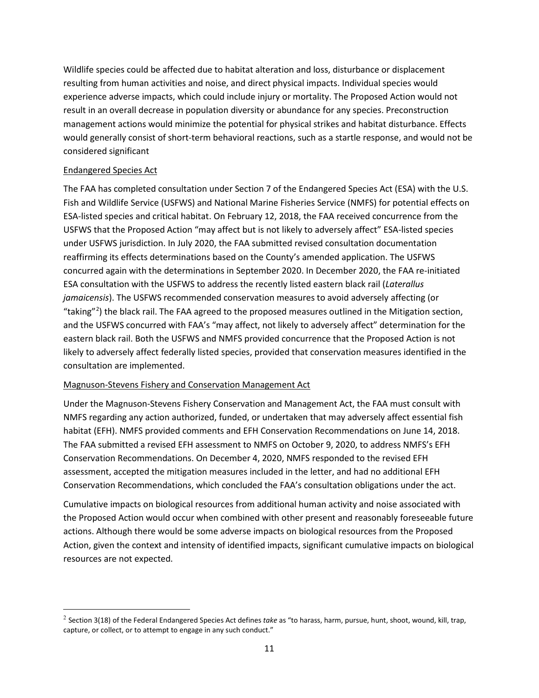Wildlife species could be affected due to habitat alteration and loss, disturbance or displacement resulting from human activities and noise, and direct physical impacts. Individual species would experience adverse impacts, which could include injury or mortality. The Proposed Action would not result in an overall decrease in population diversity or abundance for any species. Preconstruction management actions would minimize the potential for physical strikes and habitat disturbance. Effects would generally consist of short-term behavioral reactions, such as a startle response, and would not be considered significant

### Endangered Species Act

The FAA has completed consultation under Section 7 of the Endangered Species Act (ESA) with the U.S. Fish and Wildlife Service (USFWS) and National Marine Fisheries Service (NMFS) for potential effects on ESA-listed species and critical habitat. On February 12, 2018, the FAA received concurrence from the USFWS that the Proposed Action "may affect but is not likely to adversely affect" ESA-listed species under USFWS jurisdiction. In July 2020, the FAA submitted revised consultation documentation reaffirming its effects determinations based on the County's amended application. The USFWS concurred again with the determinations in September 2020. In December 2020, the FAA re-initiated ESA consultation with the USFWS to address the recently listed eastern black rail (*Laterallus jamaicensis*). The USFWS recommended conservation measures to avoid adversely affecting (or "taking"[2](#page-10-0) ) the black rail. The FAA agreed to the proposed measures outlined in the Mitigation section, and the USFWS concurred with FAA's "may affect, not likely to adversely affect" determination for the eastern black rail. Both the USFWS and NMFS provided concurrence that the Proposed Action is not likely to adversely affect federally listed species, provided that conservation measures identified in the consultation are implemented.

### Magnuson-Stevens Fishery and Conservation Management Act

Under the Magnuson-Stevens Fishery Conservation and Management Act, the FAA must consult with NMFS regarding any action authorized, funded, or undertaken that may adversely affect essential fish habitat (EFH). NMFS provided comments and EFH Conservation Recommendations on June 14, 2018. The FAA submitted a revised EFH assessment to NMFS on October 9, 2020, to address NMFS's EFH Conservation Recommendations. On December 4, 2020, NMFS responded to the revised EFH assessment, accepted the mitigation measures included in the letter, and had no additional EFH Conservation Recommendations, which concluded the FAA's consultation obligations under the act.

Cumulative impacts on biological resources from additional human activity and noise associated with the Proposed Action would occur when combined with other present and reasonably foreseeable future actions. Although there would be some adverse impacts on biological resources from the Proposed Action, given the context and intensity of identified impacts, significant cumulative impacts on biological resources are not expected.

<span id="page-10-0"></span> <sup>2</sup> Section 3(18) of the Federal Endangered Species Act defines *take* as "to harass, harm, pursue, hunt, shoot, wound, kill, trap, capture, or collect, or to attempt to engage in any such conduct."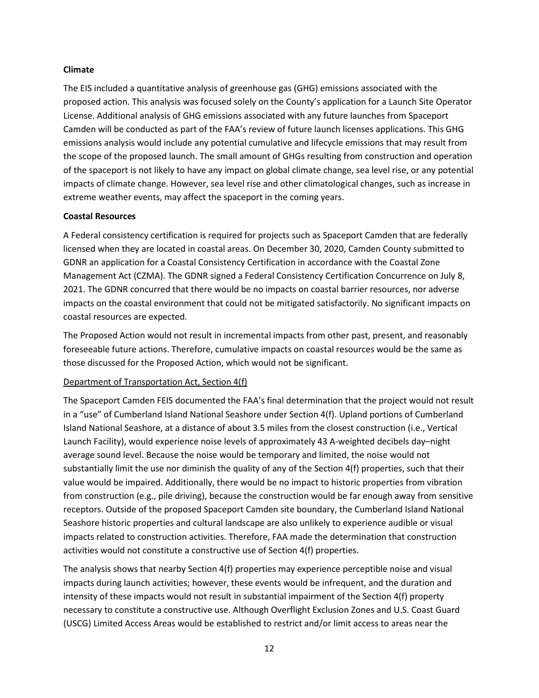#### **Climate**

The EIS included a quantitative analysis of greenhouse gas (GHG) emissions associated with the proposed action. This analysis was focused solely on the County's application for a Launch Site Operator License. Additional analysis of GHG emissions associated with any future launches from Spaceport Camden will be conducted as part of the FAA's review of future launch licenses applications. This GHG emissions analysis would include any potential cumulative and lifecycle emissions that may result from the scope of the proposed launch. The small amount of GHGs resulting from construction and operation of the spaceport is not likely to have any impact on global climate change, sea level rise, or any potential impacts of climate change. However, sea level rise and other climatological changes, such as increase in extreme weather events, may affect the spaceport in the coming years.

### **Coastal Resources**

A Federal consistency certification is required for projects such as Spaceport Camden that are federally licensed when they are located in coastal areas. On December 30, 2020, Camden County submitted to GDNR an application for a Coastal Consistency Certification in accordance with the Coastal Zone Management Act (CZMA). The GDNR signed a Federal Consistency Certification Concurrence on July 8, 2021. The GDNR concurred that there would be no impacts on coastal barrier resources, nor adverse impacts on the coastal environment that could not be mitigated satisfactorily. No significant impacts on coastal resources are expected.

The Proposed Action would not result in incremental impacts from other past, present, and reasonably foreseeable future actions. Therefore, cumulative impacts on coastal resources would be the same as those discussed for the Proposed Action, which would not be significant.

### Department of Transportation Act, Section 4(f)

The Spaceport Camden FEIS documented the FAA's final determination that the project would not result in a "use" of Cumberland Island National Seashore under Section 4(f). Upland portions of Cumberland Island National Seashore, at a distance of about 3.5 miles from the closest construction (i.e., Vertical Launch Facility), would experience noise levels of approximately 43 A-weighted decibels day–night average sound level. Because the noise would be temporary and limited, the noise would not substantially limit the use nor diminish the quality of any of the Section 4(f) properties, such that their value would be impaired. Additionally, there would be no impact to historic properties from vibration from construction (e.g., pile driving), because the construction would be far enough away from sensitive receptors. Outside of the proposed Spaceport Camden site boundary, the Cumberland Island National Seashore historic properties and cultural landscape are also unlikely to experience audible or visual impacts related to construction activities. Therefore, FAA made the determination that construction activities would not constitute a constructive use of Section 4(f) properties.

The analysis shows that nearby Section 4(f) properties may experience perceptible noise and visual impacts during launch activities; however, these events would be infrequent, and the duration and intensity of these impacts would not result in substantial impairment of the Section 4(f) property necessary to constitute a constructive use. Although Overflight Exclusion Zones and U.S. Coast Guard (USCG) Limited Access Areas would be established to restrict and/or limit access to areas near the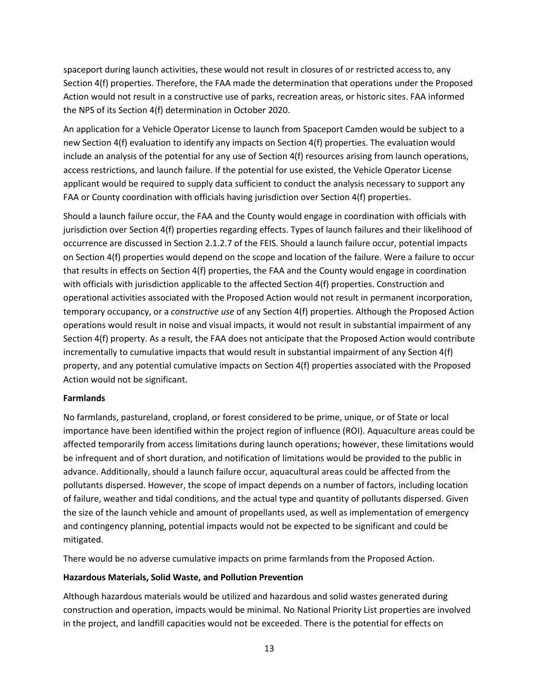spaceport during launch activities, these would not result in closures of or restricted access to, any Section 4(f) properties. Therefore, the FAA made the determination that operations under the Proposed Action would not result in a constructive use of parks, recreation areas, or historic sites. FAA informed the NPS of its Section 4(f) determination in October 2020.

An application for a Vehicle Operator License to launch from Spaceport Camden would be subject to a new Section 4(f) evaluation to identify any impacts on Section 4(f) properties. The evaluation would include an analysis of the potential for any use of Section 4(f) resources arising from launch operations, access restrictions, and launch failure. If the potential for use existed, the Vehicle Operator License applicant would be required to supply data sufficient to conduct the analysis necessary to support any FAA or County coordination with officials having jurisdiction over Section 4(f) properties.

Should a launch failure occur, the FAA and the County would engage in coordination with officials with jurisdiction over Section 4(f) properties regarding effects. Types of launch failures and their likelihood of occurrence are discussed in Section 2.1.2.7 of the FEIS. Should a launch failure occur, potential impacts on Section 4(f) properties would depend on the scope and location of the failure. Were a failure to occur that results in effects on Section 4(f) properties, the FAA and the County would engage in coordination with officials with jurisdiction applicable to the affected Section 4(f) properties. Construction and operational activities associated with the Proposed Action would not result in permanent incorporation, temporary occupancy, or a *constructive use* of any Section 4(f) properties. Although the Proposed Action operations would result in noise and visual impacts, it would not result in substantial impairment of any Section 4(f) property. As a result, the FAA does not anticipate that the Proposed Action would contribute incrementally to cumulative impacts that would result in substantial impairment of any Section 4(f) property, and any potential cumulative impacts on Section 4(f) properties associated with the Proposed Action would not be significant.

#### **Farmlands**

No farmlands, pastureland, cropland, or forest considered to be prime, unique, or of State or local importance have been identified within the project region of influence (ROI). Aquaculture areas could be affected temporarily from access limitations during launch operations; however, these limitations would be infrequent and of short duration, and notification of limitations would be provided to the public in advance. Additionally, should a launch failure occur, aquacultural areas could be affected from the pollutants dispersed. However, the scope of impact depends on a number of factors, including location of failure, weather and tidal conditions, and the actual type and quantity of pollutants dispersed. Given the size of the launch vehicle and amount of propellants used, as well as implementation of emergency and contingency planning, potential impacts would not be expected to be significant and could be mitigated.

There would be no adverse cumulative impacts on prime farmlands from the Proposed Action.

### **Hazardous Materials, Solid Waste, and Pollution Prevention**

Although hazardous materials would be utilized and hazardous and solid wastes generated during construction and operation, impacts would be minimal. No National Priority List properties are involved in the project, and landfill capacities would not be exceeded. There is the potential for effects on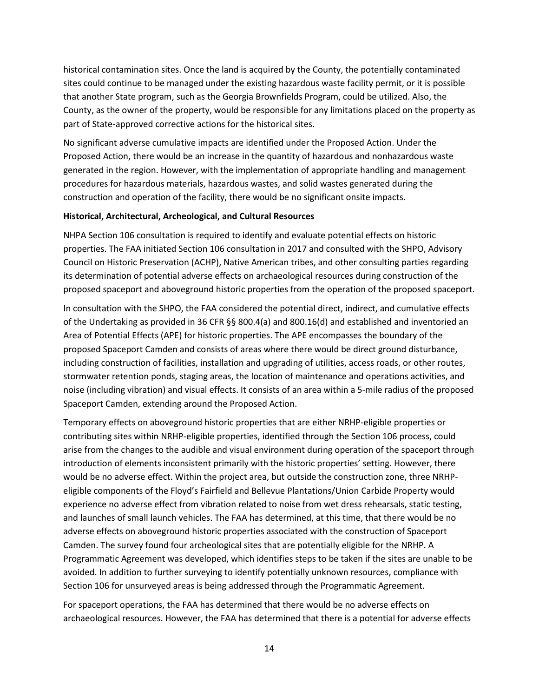historical contamination sites. Once the land is acquired by the County, the potentially contaminated sites could continue to be managed under the existing hazardous waste facility permit, or it is possible that another State program, such as the Georgia Brownfields Program, could be utilized. Also, the County, as the owner of the property, would be responsible for any limitations placed on the property as part of State-approved corrective actions for the historical sites.

No significant adverse cumulative impacts are identified under the Proposed Action. Under the Proposed Action, there would be an increase in the quantity of hazardous and nonhazardous waste generated in the region. However, with the implementation of appropriate handling and management procedures for hazardous materials, hazardous wastes, and solid wastes generated during the construction and operation of the facility, there would be no significant onsite impacts.

### **Historical, Architectural, Archeological, and Cultural Resources**

NHPA Section 106 consultation is required to identify and evaluate potential effects on historic properties. The FAA initiated Section 106 consultation in 2017 and consulted with the SHPO, Advisory Council on Historic Preservation (ACHP), Native American tribes, and other consulting parties regarding its determination of potential adverse effects on archaeological resources during construction of the proposed spaceport and aboveground historic properties from the operation of the proposed spaceport.

In consultation with the SHPO, the FAA considered the potential direct, indirect, and cumulative effects of the Undertaking as provided in 36 CFR §§ 800.4(a) and 800.16(d) and established and inventoried an Area of Potential Effects (APE) for historic properties. The APE encompasses the boundary of the proposed Spaceport Camden and consists of areas where there would be direct ground disturbance, including construction of facilities, installation and upgrading of utilities, access roads, or other routes, stormwater retention ponds, staging areas, the location of maintenance and operations activities, and noise (including vibration) and visual effects. It consists of an area within a 5-mile radius of the proposed Spaceport Camden, extending around the Proposed Action.

Temporary effects on aboveground historic properties that are either NRHP-eligible properties or contributing sites within NRHP-eligible properties, identified through the Section 106 process, could arise from the changes to the audible and visual environment during operation of the spaceport through introduction of elements inconsistent primarily with the historic properties' setting. However, there would be no adverse effect. Within the project area, but outside the construction zone, three NRHPeligible components of the Floyd's Fairfield and Bellevue Plantations/Union Carbide Property would experience no adverse effect from vibration related to noise from wet dress rehearsals, static testing, and launches of small launch vehicles. The FAA has determined, at this time, that there would be no adverse effects on aboveground historic properties associated with the construction of Spaceport Camden. The survey found four archeological sites that are potentially eligible for the NRHP. A Programmatic Agreement was developed, which identifies steps to be taken if the sites are unable to be avoided. In addition to further surveying to identify potentially unknown resources, compliance with Section 106 for unsurveyed areas is being addressed through the Programmatic Agreement.

For spaceport operations, the FAA has determined that there would be no adverse effects on archaeological resources. However, the FAA has determined that there is a potential for adverse effects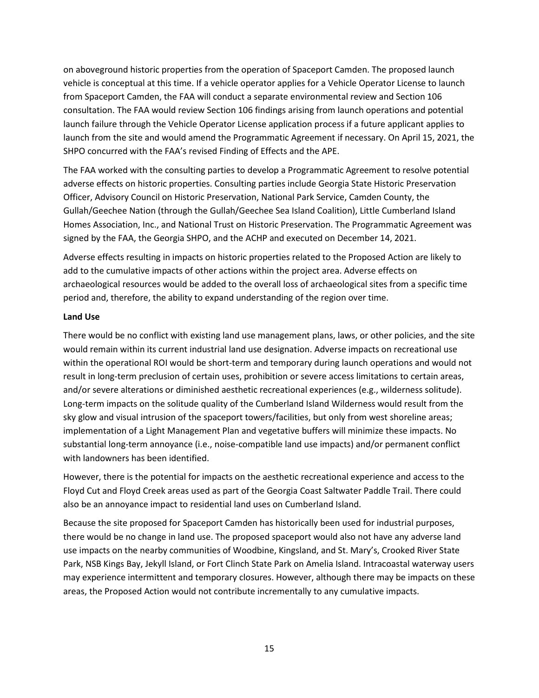on aboveground historic properties from the operation of Spaceport Camden. The proposed launch vehicle is conceptual at this time. If a vehicle operator applies for a Vehicle Operator License to launch from Spaceport Camden, the FAA will conduct a separate environmental review and Section 106 consultation. The FAA would review Section 106 findings arising from launch operations and potential launch failure through the Vehicle Operator License application process if a future applicant applies to launch from the site and would amend the Programmatic Agreement if necessary. On April 15, 2021, the SHPO concurred with the FAA's revised Finding of Effects and the APE.

The FAA worked with the consulting parties to develop a Programmatic Agreement to resolve potential adverse effects on historic properties. Consulting parties include Georgia State Historic Preservation Officer, Advisory Council on Historic Preservation, National Park Service, Camden County, the Gullah/Geechee Nation (through the Gullah/Geechee Sea Island Coalition), Little Cumberland Island Homes Association, Inc., and National Trust on Historic Preservation. The Programmatic Agreement was signed by the FAA, the Georgia SHPO, and the ACHP and executed on December 14, 2021.

Adverse effects resulting in impacts on historic properties related to the Proposed Action are likely to add to the cumulative impacts of other actions within the project area. Adverse effects on archaeological resources would be added to the overall loss of archaeological sites from a specific time period and, therefore, the ability to expand understanding of the region over time.

### **Land Use**

There would be no conflict with existing land use management plans, laws, or other policies, and the site would remain within its current industrial land use designation. Adverse impacts on recreational use within the operational ROI would be short-term and temporary during launch operations and would not result in long-term preclusion of certain uses, prohibition or severe access limitations to certain areas, and/or severe alterations or diminished aesthetic recreational experiences (e.g., wilderness solitude). Long-term impacts on the solitude quality of the Cumberland Island Wilderness would result from the sky glow and visual intrusion of the spaceport towers/facilities, but only from west shoreline areas; implementation of a Light Management Plan and vegetative buffers will minimize these impacts. No substantial long-term annoyance (i.e., noise-compatible land use impacts) and/or permanent conflict with landowners has been identified.

However, there is the potential for impacts on the aesthetic recreational experience and access to the Floyd Cut and Floyd Creek areas used as part of the Georgia Coast Saltwater Paddle Trail. There could also be an annoyance impact to residential land uses on Cumberland Island.

Because the site proposed for Spaceport Camden has historically been used for industrial purposes, there would be no change in land use. The proposed spaceport would also not have any adverse land use impacts on the nearby communities of Woodbine, Kingsland, and St. Mary's, Crooked River State Park, NSB Kings Bay, Jekyll Island, or Fort Clinch State Park on Amelia Island. Intracoastal waterway users may experience intermittent and temporary closures. However, although there may be impacts on these areas, the Proposed Action would not contribute incrementally to any cumulative impacts.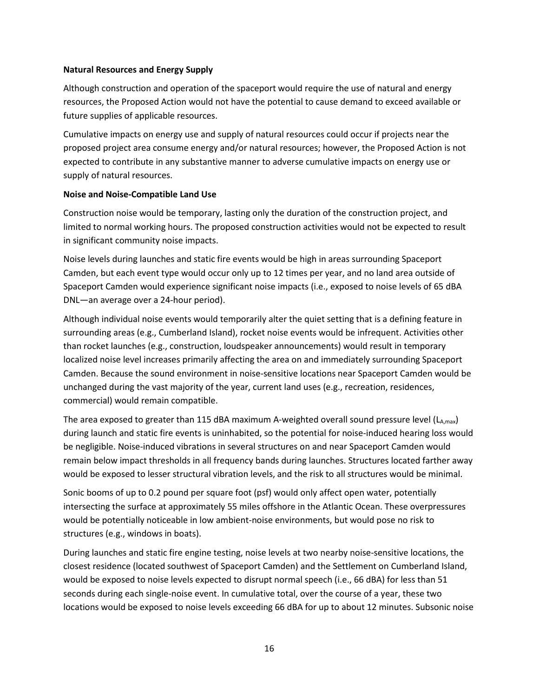### **Natural Resources and Energy Supply**

Although construction and operation of the spaceport would require the use of natural and energy resources, the Proposed Action would not have the potential to cause demand to exceed available or future supplies of applicable resources.

Cumulative impacts on energy use and supply of natural resources could occur if projects near the proposed project area consume energy and/or natural resources; however, the Proposed Action is not expected to contribute in any substantive manner to adverse cumulative impacts on energy use or supply of natural resources.

#### **Noise and Noise-Compatible Land Use**

Construction noise would be temporary, lasting only the duration of the construction project, and limited to normal working hours. The proposed construction activities would not be expected to result in significant community noise impacts.

Noise levels during launches and static fire events would be high in areas surrounding Spaceport Camden, but each event type would occur only up to 12 times per year, and no land area outside of Spaceport Camden would experience significant noise impacts (i.e., exposed to noise levels of 65 dBA DNL—an average over a 24-hour period).

Although individual noise events would temporarily alter the quiet setting that is a defining feature in surrounding areas (e.g., Cumberland Island), rocket noise events would be infrequent. Activities other than rocket launches (e.g., construction, loudspeaker announcements) would result in temporary localized noise level increases primarily affecting the area on and immediately surrounding Spaceport Camden. Because the sound environment in noise-sensitive locations near Spaceport Camden would be unchanged during the vast majority of the year, current land uses (e.g., recreation, residences, commercial) would remain compatible.

The area exposed to greater than 115 dBA maximum A-weighted overall sound pressure level  $(L_{A,\text{max}})$ during launch and static fire events is uninhabited, so the potential for noise-induced hearing loss would be negligible. Noise-induced vibrations in several structures on and near Spaceport Camden would remain below impact thresholds in all frequency bands during launches. Structures located farther away would be exposed to lesser structural vibration levels, and the risk to all structures would be minimal.

Sonic booms of up to 0.2 pound per square foot (psf) would only affect open water, potentially intersecting the surface at approximately 55 miles offshore in the Atlantic Ocean. These overpressures would be potentially noticeable in low ambient-noise environments, but would pose no risk to structures (e.g., windows in boats).

During launches and static fire engine testing, noise levels at two nearby noise-sensitive locations, the closest residence (located southwest of Spaceport Camden) and the Settlement on Cumberland Island, would be exposed to noise levels expected to disrupt normal speech (i.e., 66 dBA) for less than 51 seconds during each single-noise event. In cumulative total, over the course of a year, these two locations would be exposed to noise levels exceeding 66 dBA for up to about 12 minutes. Subsonic noise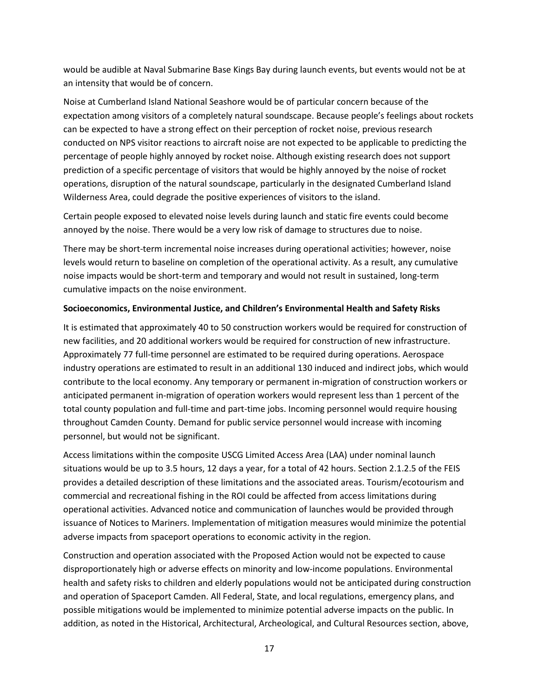would be audible at Naval Submarine Base Kings Bay during launch events, but events would not be at an intensity that would be of concern.

Noise at Cumberland Island National Seashore would be of particular concern because of the expectation among visitors of a completely natural soundscape. Because people's feelings about rockets can be expected to have a strong effect on their perception of rocket noise, previous research conducted on NPS visitor reactions to aircraft noise are not expected to be applicable to predicting the percentage of people highly annoyed by rocket noise. Although existing research does not support prediction of a specific percentage of visitors that would be highly annoyed by the noise of rocket operations, disruption of the natural soundscape, particularly in the designated Cumberland Island Wilderness Area, could degrade the positive experiences of visitors to the island.

Certain people exposed to elevated noise levels during launch and static fire events could become annoyed by the noise. There would be a very low risk of damage to structures due to noise.

There may be short-term incremental noise increases during operational activities; however, noise levels would return to baseline on completion of the operational activity. As a result, any cumulative noise impacts would be short-term and temporary and would not result in sustained, long-term cumulative impacts on the noise environment.

### **Socioeconomics, Environmental Justice, and Children's Environmental Health and Safety Risks**

It is estimated that approximately 40 to 50 construction workers would be required for construction of new facilities, and 20 additional workers would be required for construction of new infrastructure. Approximately 77 full-time personnel are estimated to be required during operations. Aerospace industry operations are estimated to result in an additional 130 induced and indirect jobs, which would contribute to the local economy. Any temporary or permanent in-migration of construction workers or anticipated permanent in-migration of operation workers would represent less than 1 percent of the total county population and full-time and part-time jobs. Incoming personnel would require housing throughout Camden County. Demand for public service personnel would increase with incoming personnel, but would not be significant.

Access limitations within the composite USCG Limited Access Area (LAA) under nominal launch situations would be up to 3.5 hours, 12 days a year, for a total of 42 hours. Section 2.1.2.5 of the FEIS provides a detailed description of these limitations and the associated areas. Tourism/ecotourism and commercial and recreational fishing in the ROI could be affected from access limitations during operational activities. Advanced notice and communication of launches would be provided through issuance of Notices to Mariners. Implementation of mitigation measures would minimize the potential adverse impacts from spaceport operations to economic activity in the region.

Construction and operation associated with the Proposed Action would not be expected to cause disproportionately high or adverse effects on minority and low-income populations. Environmental health and safety risks to children and elderly populations would not be anticipated during construction and operation of Spaceport Camden. All Federal, State, and local regulations, emergency plans, and possible mitigations would be implemented to minimize potential adverse impacts on the public. In addition, as noted in the Historical, Architectural, Archeological, and Cultural Resources section, above,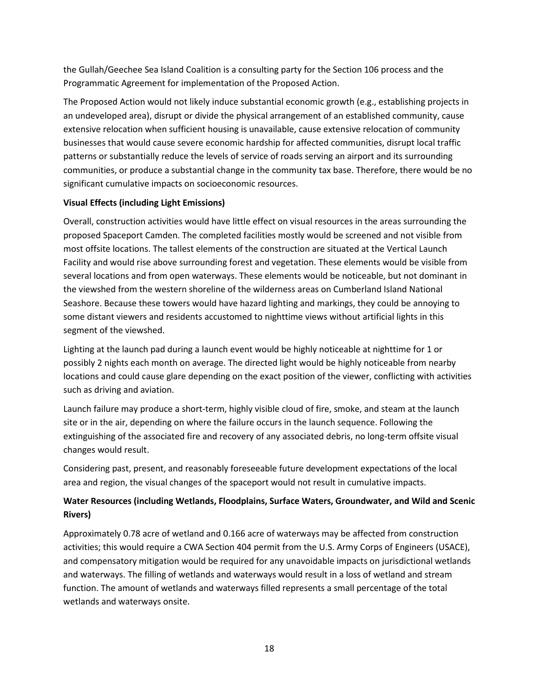the Gullah/Geechee Sea Island Coalition is a consulting party for the Section 106 process and the Programmatic Agreement for implementation of the Proposed Action.

The Proposed Action would not likely induce substantial economic growth (e.g., establishing projects in an undeveloped area), disrupt or divide the physical arrangement of an established community, cause extensive relocation when sufficient housing is unavailable, cause extensive relocation of community businesses that would cause severe economic hardship for affected communities, disrupt local traffic patterns or substantially reduce the levels of service of roads serving an airport and its surrounding communities, or produce a substantial change in the community tax base. Therefore, there would be no significant cumulative impacts on socioeconomic resources.

### **Visual Effects (including Light Emissions)**

Overall, construction activities would have little effect on visual resources in the areas surrounding the proposed Spaceport Camden. The completed facilities mostly would be screened and not visible from most offsite locations. The tallest elements of the construction are situated at the Vertical Launch Facility and would rise above surrounding forest and vegetation. These elements would be visible from several locations and from open waterways. These elements would be noticeable, but not dominant in the viewshed from the western shoreline of the wilderness areas on Cumberland Island National Seashore. Because these towers would have hazard lighting and markings, they could be annoying to some distant viewers and residents accustomed to nighttime views without artificial lights in this segment of the viewshed.

Lighting at the launch pad during a launch event would be highly noticeable at nighttime for 1 or possibly 2 nights each month on average. The directed light would be highly noticeable from nearby locations and could cause glare depending on the exact position of the viewer, conflicting with activities such as driving and aviation.

Launch failure may produce a short-term, highly visible cloud of fire, smoke, and steam at the launch site or in the air, depending on where the failure occurs in the launch sequence. Following the extinguishing of the associated fire and recovery of any associated debris, no long-term offsite visual changes would result.

Considering past, present, and reasonably foreseeable future development expectations of the local area and region, the visual changes of the spaceport would not result in cumulative impacts.

## **Water Resources (including Wetlands, Floodplains, Surface Waters, Groundwater, and Wild and Scenic Rivers)**

Approximately 0.78 acre of wetland and 0.166 acre of waterways may be affected from construction activities; this would require a CWA Section 404 permit from the U.S. Army Corps of Engineers (USACE), and compensatory mitigation would be required for any unavoidable impacts on jurisdictional wetlands and waterways. The filling of wetlands and waterways would result in a loss of wetland and stream function. The amount of wetlands and waterways filled represents a small percentage of the total wetlands and waterways onsite.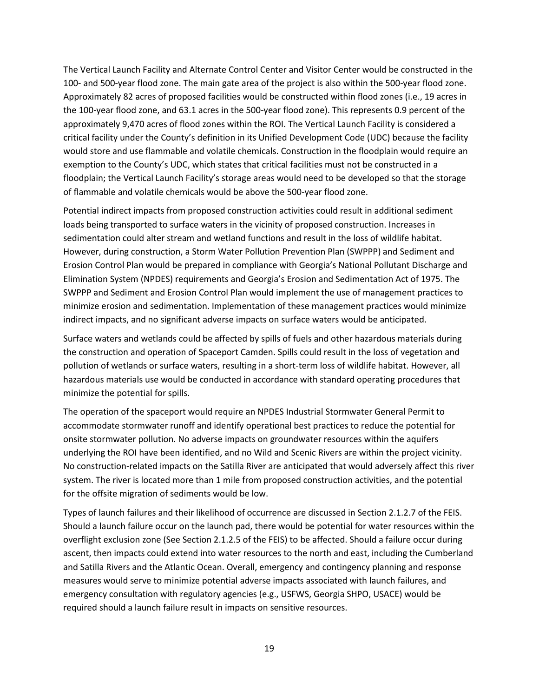The Vertical Launch Facility and Alternate Control Center and Visitor Center would be constructed in the 100- and 500-year flood zone. The main gate area of the project is also within the 500-year flood zone. Approximately 82 acres of proposed facilities would be constructed within flood zones (i.e., 19 acres in the 100-year flood zone, and 63.1 acres in the 500-year flood zone). This represents 0.9 percent of the approximately 9,470 acres of flood zones within the ROI. The Vertical Launch Facility is considered a critical facility under the County's definition in its Unified Development Code (UDC) because the facility would store and use flammable and volatile chemicals. Construction in the floodplain would require an exemption to the County's UDC, which states that critical facilities must not be constructed in a floodplain; the Vertical Launch Facility's storage areas would need to be developed so that the storage of flammable and volatile chemicals would be above the 500-year flood zone.

Potential indirect impacts from proposed construction activities could result in additional sediment loads being transported to surface waters in the vicinity of proposed construction. Increases in sedimentation could alter stream and wetland functions and result in the loss of wildlife habitat. However, during construction, a Storm Water Pollution Prevention Plan (SWPPP) and Sediment and Erosion Control Plan would be prepared in compliance with Georgia's National Pollutant Discharge and Elimination System (NPDES) requirements and Georgia's Erosion and Sedimentation Act of 1975. The SWPPP and Sediment and Erosion Control Plan would implement the use of management practices to minimize erosion and sedimentation. Implementation of these management practices would minimize indirect impacts, and no significant adverse impacts on surface waters would be anticipated.

Surface waters and wetlands could be affected by spills of fuels and other hazardous materials during the construction and operation of Spaceport Camden. Spills could result in the loss of vegetation and pollution of wetlands or surface waters, resulting in a short-term loss of wildlife habitat. However, all hazardous materials use would be conducted in accordance with standard operating procedures that minimize the potential for spills.

The operation of the spaceport would require an NPDES Industrial Stormwater General Permit to accommodate stormwater runoff and identify operational best practices to reduce the potential for onsite stormwater pollution. No adverse impacts on groundwater resources within the aquifers underlying the ROI have been identified, and no Wild and Scenic Rivers are within the project vicinity. No construction-related impacts on the Satilla River are anticipated that would adversely affect this river system. The river is located more than 1 mile from proposed construction activities, and the potential for the offsite migration of sediments would be low.

Types of launch failures and their likelihood of occurrence are discussed in Section 2.1.2.7 of the FEIS. Should a launch failure occur on the launch pad, there would be potential for water resources within the overflight exclusion zone (See Section 2.1.2.5 of the FEIS) to be affected. Should a failure occur during ascent, then impacts could extend into water resources to the north and east, including the Cumberland and Satilla Rivers and the Atlantic Ocean. Overall, emergency and contingency planning and response measures would serve to minimize potential adverse impacts associated with launch failures, and emergency consultation with regulatory agencies (e.g., USFWS, Georgia SHPO, USACE) would be required should a launch failure result in impacts on sensitive resources.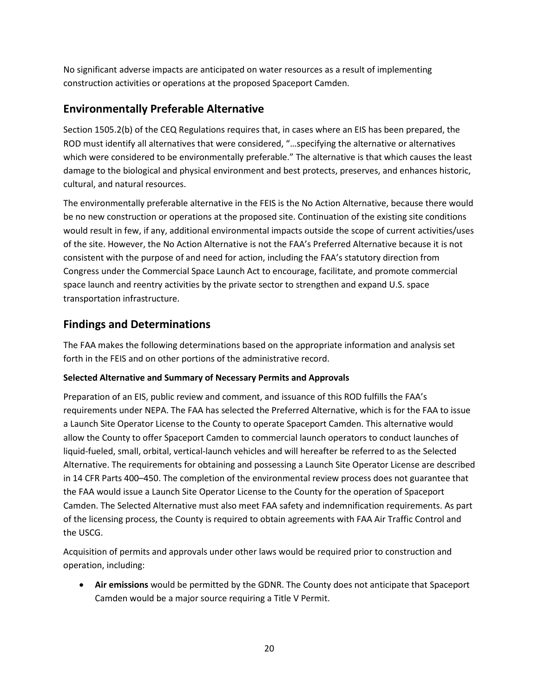No significant adverse impacts are anticipated on water resources as a result of implementing construction activities or operations at the proposed Spaceport Camden.

## **Environmentally Preferable Alternative**

Section 1505.2(b) of the CEQ Regulations requires that, in cases where an EIS has been prepared, the ROD must identify all alternatives that were considered, "…specifying the alternative or alternatives which were considered to be environmentally preferable." The alternative is that which causes the least damage to the biological and physical environment and best protects, preserves, and enhances historic, cultural, and natural resources.

The environmentally preferable alternative in the FEIS is the No Action Alternative, because there would be no new construction or operations at the proposed site. Continuation of the existing site conditions would result in few, if any, additional environmental impacts outside the scope of current activities/uses of the site. However, the No Action Alternative is not the FAA's Preferred Alternative because it is not consistent with the purpose of and need for action, including the FAA's statutory direction from Congress under the Commercial Space Launch Act to encourage, facilitate, and promote commercial space launch and reentry activities by the private sector to strengthen and expand U.S. space transportation infrastructure.

## **Findings and Determinations**

The FAA makes the following determinations based on the appropriate information and analysis set forth in the FEIS and on other portions of the administrative record.

## **Selected Alternative and Summary of Necessary Permits and Approvals**

Preparation of an EIS, public review and comment, and issuance of this ROD fulfills the FAA's requirements under NEPA. The FAA has selected the Preferred Alternative, which is for the FAA to issue a Launch Site Operator License to the County to operate Spaceport Camden. This alternative would allow the County to offer Spaceport Camden to commercial launch operators to conduct launches of liquid-fueled, small, orbital, vertical-launch vehicles and will hereafter be referred to as the Selected Alternative. The requirements for obtaining and possessing a Launch Site Operator License are described in 14 CFR Parts 400–450. The completion of the environmental review process does not guarantee that the FAA would issue a Launch Site Operator License to the County for the operation of Spaceport Camden. The Selected Alternative must also meet FAA safety and indemnification requirements. As part of the licensing process, the County is required to obtain agreements with FAA Air Traffic Control and the USCG.

Acquisition of permits and approvals under other laws would be required prior to construction and operation, including:

• **Air emissions** would be permitted by the GDNR. The County does not anticipate that Spaceport Camden would be a major source requiring a Title V Permit.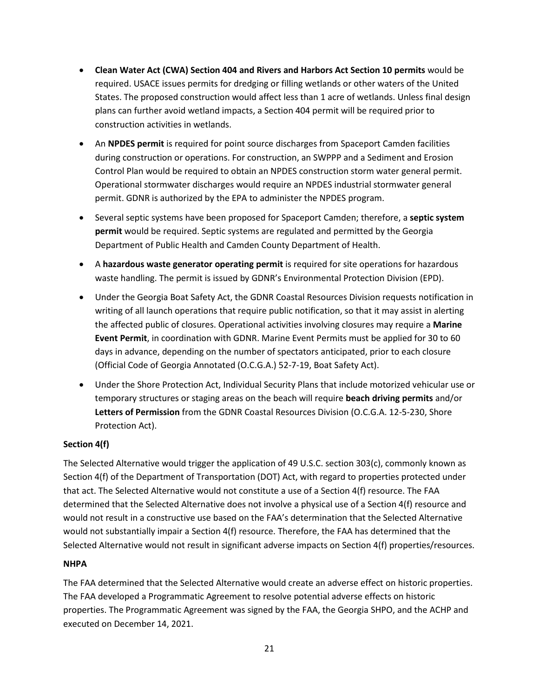- **Clean Water Act (CWA) Section 404 and Rivers and Harbors Act Section 10 permits** would be required. USACE issues permits for dredging or filling wetlands or other waters of the United States. The proposed construction would affect less than 1 acre of wetlands. Unless final design plans can further avoid wetland impacts, a Section 404 permit will be required prior to construction activities in wetlands.
- An **NPDES permit** is required for point source discharges from Spaceport Camden facilities during construction or operations. For construction, an SWPPP and a Sediment and Erosion Control Plan would be required to obtain an NPDES construction storm water general permit. Operational stormwater discharges would require an NPDES industrial stormwater general permit. GDNR is authorized by the EPA to administer the NPDES program.
- Several septic systems have been proposed for Spaceport Camden; therefore, a **septic system permit** would be required. Septic systems are regulated and permitted by the Georgia Department of Public Health and Camden County Department of Health.
- A **hazardous waste generator operating permit** is required for site operations for hazardous waste handling. The permit is issued by GDNR's Environmental Protection Division (EPD).
- Under the Georgia Boat Safety Act, the GDNR Coastal Resources Division requests notification in writing of all launch operations that require public notification, so that it may assist in alerting the affected public of closures. Operational activities involving closures may require a **Marine Event Permit**, in coordination with GDNR. Marine Event Permits must be applied for 30 to 60 days in advance, depending on the number of spectators anticipated, prior to each closure (Official Code of Georgia Annotated (O.C.G.A.) 52-7-19, Boat Safety Act).
- Under the Shore Protection Act, Individual Security Plans that include motorized vehicular use or temporary structures or staging areas on the beach will require **beach driving permits** and/or **Letters of Permission** from the GDNR Coastal Resources Division (O.C.G.A. 12-5-230, Shore Protection Act).

## **Section 4(f)**

The Selected Alternative would trigger the application of 49 U.S.C. section 303(c), commonly known as Section 4(f) of the Department of Transportation (DOT) Act, with regard to properties protected under that act. The Selected Alternative would not constitute a use of a Section 4(f) resource. The FAA determined that the Selected Alternative does not involve a physical use of a Section 4(f) resource and would not result in a constructive use based on the FAA's determination that the Selected Alternative would not substantially impair a Section 4(f) resource. Therefore, the FAA has determined that the Selected Alternative would not result in significant adverse impacts on Section 4(f) properties/resources.

## **NHPA**

The FAA determined that the Selected Alternative would create an adverse effect on historic properties. The FAA developed a Programmatic Agreement to resolve potential adverse effects on historic properties. The Programmatic Agreement was signed by the FAA, the Georgia SHPO, and the ACHP and executed on December 14, 2021.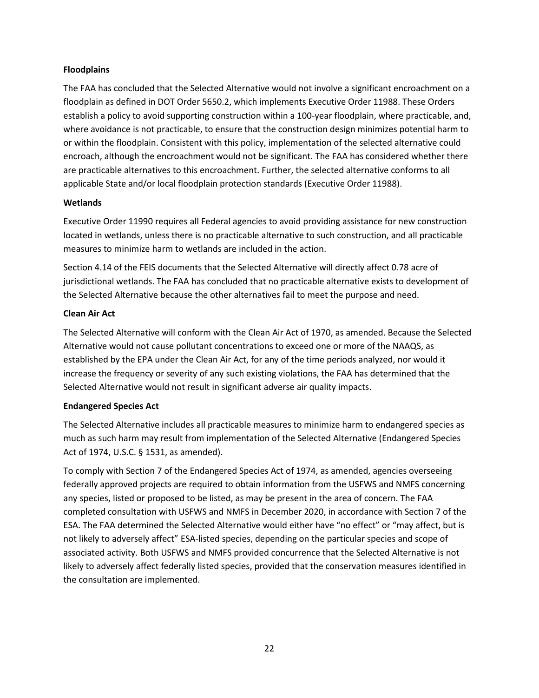### **Floodplains**

The FAA has concluded that the Selected Alternative would not involve a significant encroachment on a floodplain as defined in DOT Order 5650.2, which implements Executive Order 11988. These Orders establish a policy to avoid supporting construction within a 100-year floodplain, where practicable, and, where avoidance is not practicable, to ensure that the construction design minimizes potential harm to or within the floodplain. Consistent with this policy, implementation of the selected alternative could encroach, although the encroachment would not be significant. The FAA has considered whether there are practicable alternatives to this encroachment. Further, the selected alternative conforms to all applicable State and/or local floodplain protection standards (Executive Order 11988).

### **Wetlands**

Executive Order 11990 requires all Federal agencies to avoid providing assistance for new construction located in wetlands, unless there is no practicable alternative to such construction, and all practicable measures to minimize harm to wetlands are included in the action.

Section 4.14 of the FEIS documents that the Selected Alternative will directly affect 0.78 acre of jurisdictional wetlands. The FAA has concluded that no practicable alternative exists to development of the Selected Alternative because the other alternatives fail to meet the purpose and need.

### **Clean Air Act**

The Selected Alternative will conform with the Clean Air Act of 1970, as amended. Because the Selected Alternative would not cause pollutant concentrations to exceed one or more of the NAAQS, as established by the EPA under the Clean Air Act, for any of the time periods analyzed, nor would it increase the frequency or severity of any such existing violations, the FAA has determined that the Selected Alternative would not result in significant adverse air quality impacts.

### **Endangered Species Act**

The Selected Alternative includes all practicable measures to minimize harm to endangered species as much as such harm may result from implementation of the Selected Alternative (Endangered Species Act of 1974, U.S.C. § 1531, as amended).

To comply with Section 7 of the Endangered Species Act of 1974, as amended, agencies overseeing federally approved projects are required to obtain information from the USFWS and NMFS concerning any species, listed or proposed to be listed, as may be present in the area of concern. The FAA completed consultation with USFWS and NMFS in December 2020, in accordance with Section 7 of the ESA. The FAA determined the Selected Alternative would either have "no effect" or "may affect, but is not likely to adversely affect" ESA-listed species, depending on the particular species and scope of associated activity. Both USFWS and NMFS provided concurrence that the Selected Alternative is not likely to adversely affect federally listed species, provided that the conservation measures identified in the consultation are implemented.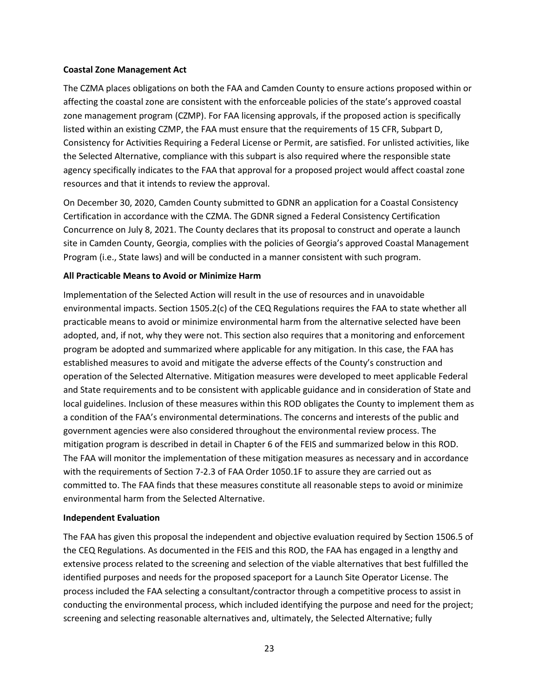#### **Coastal Zone Management Act**

The CZMA places obligations on both the FAA and Camden County to ensure actions proposed within or affecting the coastal zone are consistent with the enforceable policies of the state's approved coastal zone management program (CZMP). For FAA licensing approvals, if the proposed action is specifically listed within an existing CZMP, the FAA must ensure that the requirements of 15 CFR, Subpart D, Consistency for Activities Requiring a Federal License or Permit, are satisfied. For unlisted activities, like the Selected Alternative, compliance with this subpart is also required where the responsible state agency specifically indicates to the FAA that approval for a proposed project would affect coastal zone resources and that it intends to review the approval.

On December 30, 2020, Camden County submitted to GDNR an application for a Coastal Consistency Certification in accordance with the CZMA. The GDNR signed a Federal Consistency Certification Concurrence on July 8, 2021. The County declares that its proposal to construct and operate a launch site in Camden County, Georgia, complies with the policies of Georgia's approved Coastal Management Program (i.e., State laws) and will be conducted in a manner consistent with such program.

### **All Practicable Means to Avoid or Minimize Harm**

Implementation of the Selected Action will result in the use of resources and in unavoidable environmental impacts. Section 1505.2(c) of the CEQ Regulations requires the FAA to state whether all practicable means to avoid or minimize environmental harm from the alternative selected have been adopted, and, if not, why they were not. This section also requires that a monitoring and enforcement program be adopted and summarized where applicable for any mitigation. In this case, the FAA has established measures to avoid and mitigate the adverse effects of the County's construction and operation of the Selected Alternative. Mitigation measures were developed to meet applicable Federal and State requirements and to be consistent with applicable guidance and in consideration of State and local guidelines. Inclusion of these measures within this ROD obligates the County to implement them as a condition of the FAA's environmental determinations. The concerns and interests of the public and government agencies were also considered throughout the environmental review process. The mitigation program is described in detail in Chapter 6 of the FEIS and summarized below in this ROD. The FAA will monitor the implementation of these mitigation measures as necessary and in accordance with the requirements of Section 7-2.3 of FAA Order 1050.1F to assure they are carried out as committed to. The FAA finds that these measures constitute all reasonable steps to avoid or minimize environmental harm from the Selected Alternative.

#### **Independent Evaluation**

The FAA has given this proposal the independent and objective evaluation required by Section 1506.5 of the CEQ Regulations. As documented in the FEIS and this ROD, the FAA has engaged in a lengthy and extensive process related to the screening and selection of the viable alternatives that best fulfilled the identified purposes and needs for the proposed spaceport for a Launch Site Operator License. The process included the FAA selecting a consultant/contractor through a competitive process to assist in conducting the environmental process, which included identifying the purpose and need for the project; screening and selecting reasonable alternatives and, ultimately, the Selected Alternative; fully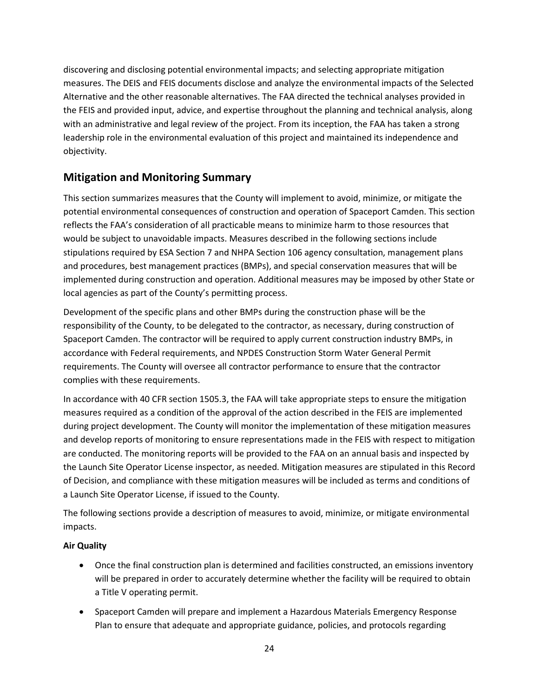discovering and disclosing potential environmental impacts; and selecting appropriate mitigation measures. The DEIS and FEIS documents disclose and analyze the environmental impacts of the Selected Alternative and the other reasonable alternatives. The FAA directed the technical analyses provided in the FEIS and provided input, advice, and expertise throughout the planning and technical analysis, along with an administrative and legal review of the project. From its inception, the FAA has taken a strong leadership role in the environmental evaluation of this project and maintained its independence and objectivity.

## **Mitigation and Monitoring Summary**

This section summarizes measures that the County will implement to avoid, minimize, or mitigate the potential environmental consequences of construction and operation of Spaceport Camden. This section reflects the FAA's consideration of all practicable means to minimize harm to those resources that would be subject to unavoidable impacts. Measures described in the following sections include stipulations required by ESA Section 7 and NHPA Section 106 agency consultation, management plans and procedures, best management practices (BMPs), and special conservation measures that will be implemented during construction and operation. Additional measures may be imposed by other State or local agencies as part of the County's permitting process.

Development of the specific plans and other BMPs during the construction phase will be the responsibility of the County, to be delegated to the contractor, as necessary, during construction of Spaceport Camden. The contractor will be required to apply current construction industry BMPs, in accordance with Federal requirements, and NPDES Construction Storm Water General Permit requirements. The County will oversee all contractor performance to ensure that the contractor complies with these requirements.

In accordance with 40 CFR section 1505.3, the FAA will take appropriate steps to ensure the mitigation measures required as a condition of the approval of the action described in the FEIS are implemented during project development. The County will monitor the implementation of these mitigation measures and develop reports of monitoring to ensure representations made in the FEIS with respect to mitigation are conducted. The monitoring reports will be provided to the FAA on an annual basis and inspected by the Launch Site Operator License inspector, as needed. Mitigation measures are stipulated in this Record of Decision, and compliance with these mitigation measures will be included as terms and conditions of a Launch Site Operator License, if issued to the County.

The following sections provide a description of measures to avoid, minimize, or mitigate environmental impacts.

## **Air Quality**

- Once the final construction plan is determined and facilities constructed, an emissions inventory will be prepared in order to accurately determine whether the facility will be required to obtain a Title V operating permit.
- Spaceport Camden will prepare and implement a Hazardous Materials Emergency Response Plan to ensure that adequate and appropriate guidance, policies, and protocols regarding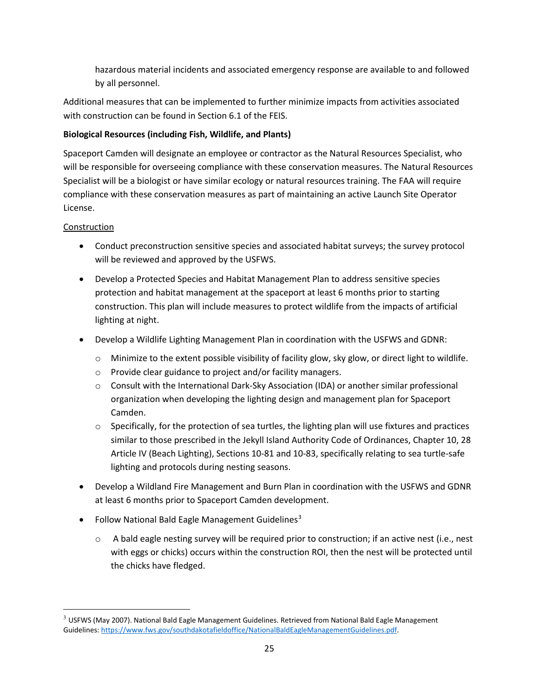hazardous material incidents and associated emergency response are available to and followed by all personnel.

Additional measures that can be implemented to further minimize impacts from activities associated with construction can be found in Section 6.1 of the FEIS.

## **Biological Resources (including Fish, Wildlife, and Plants)**

Spaceport Camden will designate an employee or contractor as the Natural Resources Specialist, who will be responsible for overseeing compliance with these conservation measures. The Natural Resources Specialist will be a biologist or have similar ecology or natural resources training. The FAA will require compliance with these conservation measures as part of maintaining an active Launch Site Operator License.

## Construction

- Conduct preconstruction sensitive species and associated habitat surveys; the survey protocol will be reviewed and approved by the USFWS.
- Develop a Protected Species and Habitat Management Plan to address sensitive species protection and habitat management at the spaceport at least 6 months prior to starting construction. This plan will include measures to protect wildlife from the impacts of artificial lighting at night.
- Develop a Wildlife Lighting Management Plan in coordination with the USFWS and GDNR:
	- o Minimize to the extent possible visibility of facility glow, sky glow, or direct light to wildlife.
	- o Provide clear guidance to project and/or facility managers.
	- o Consult with the International Dark-Sky Association (IDA) or another similar professional organization when developing the lighting design and management plan for Spaceport Camden.
	- $\circ$  Specifically, for the protection of sea turtles, the lighting plan will use fixtures and practices similar to those prescribed in the Jekyll Island Authority Code of Ordinances, Chapter 10, 28 Article IV (Beach Lighting), Sections 10-81 and 10-83, specifically relating to sea turtle-safe lighting and protocols during nesting seasons.
- Develop a Wildland Fire Management and Burn Plan in coordination with the USFWS and GDNR at least 6 months prior to Spaceport Camden development.
- Follow National Bald Eagle Management Guidelines<sup>[3](#page-24-0)</sup>
	- $\circ$  A bald eagle nesting survey will be required prior to construction; if an active nest (i.e., nest with eggs or chicks) occurs within the construction ROI, then the nest will be protected until the chicks have fledged.

<span id="page-24-0"></span> $3$  USFWS (May 2007). National Bald Eagle Management Guidelines. Retrieved from National Bald Eagle Management Guidelines: [https://www.fws.gov/southdakotafieldoffice/NationalBaldEagleManagementGuidelines.pdf.](https://www.fws.gov/southdakotafieldoffice/NationalBaldEagleManagementGuidelines.pdf)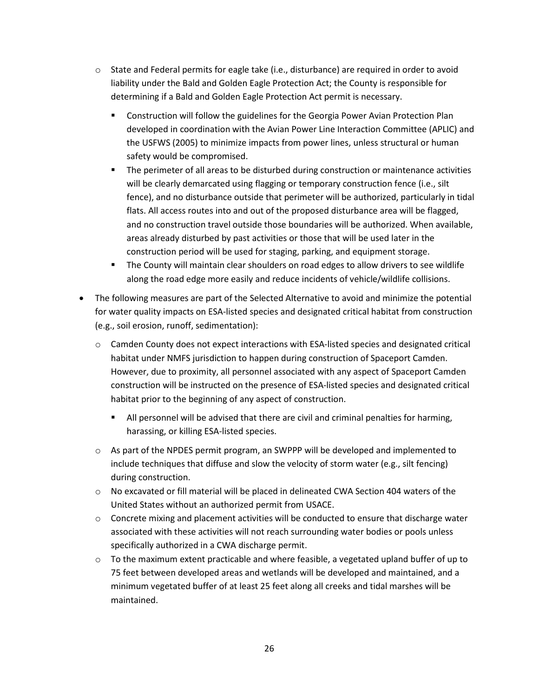- $\circ$  State and Federal permits for eagle take (i.e., disturbance) are required in order to avoid liability under the Bald and Golden Eagle Protection Act; the County is responsible for determining if a Bald and Golden Eagle Protection Act permit is necessary.
	- **Construction will follow the guidelines for the Georgia Power Avian Protection Plan** developed in coordination with the Avian Power Line Interaction Committee (APLIC) and the USFWS (2005) to minimize impacts from power lines, unless structural or human safety would be compromised.
	- **The perimeter of all areas to be disturbed during construction or maintenance activities** will be clearly demarcated using flagging or temporary construction fence (i.e., silt fence), and no disturbance outside that perimeter will be authorized, particularly in tidal flats. All access routes into and out of the proposed disturbance area will be flagged, and no construction travel outside those boundaries will be authorized. When available, areas already disturbed by past activities or those that will be used later in the construction period will be used for staging, parking, and equipment storage.
	- **The County will maintain clear shoulders on road edges to allow drivers to see wildlife** along the road edge more easily and reduce incidents of vehicle/wildlife collisions.
- The following measures are part of the Selected Alternative to avoid and minimize the potential for water quality impacts on ESA-listed species and designated critical habitat from construction (e.g., soil erosion, runoff, sedimentation):
	- $\circ$  Camden County does not expect interactions with ESA-listed species and designated critical habitat under NMFS jurisdiction to happen during construction of Spaceport Camden. However, due to proximity, all personnel associated with any aspect of Spaceport Camden construction will be instructed on the presence of ESA-listed species and designated critical habitat prior to the beginning of any aspect of construction.
		- All personnel will be advised that there are civil and criminal penalties for harming, harassing, or killing ESA-listed species.
	- o As part of the NPDES permit program, an SWPPP will be developed and implemented to include techniques that diffuse and slow the velocity of storm water (e.g., silt fencing) during construction.
	- o No excavated or fill material will be placed in delineated CWA Section 404 waters of the United States without an authorized permit from USACE.
	- $\circ$  Concrete mixing and placement activities will be conducted to ensure that discharge water associated with these activities will not reach surrounding water bodies or pools unless specifically authorized in a CWA discharge permit.
	- $\circ$  To the maximum extent practicable and where feasible, a vegetated upland buffer of up to 75 feet between developed areas and wetlands will be developed and maintained, and a minimum vegetated buffer of at least 25 feet along all creeks and tidal marshes will be maintained.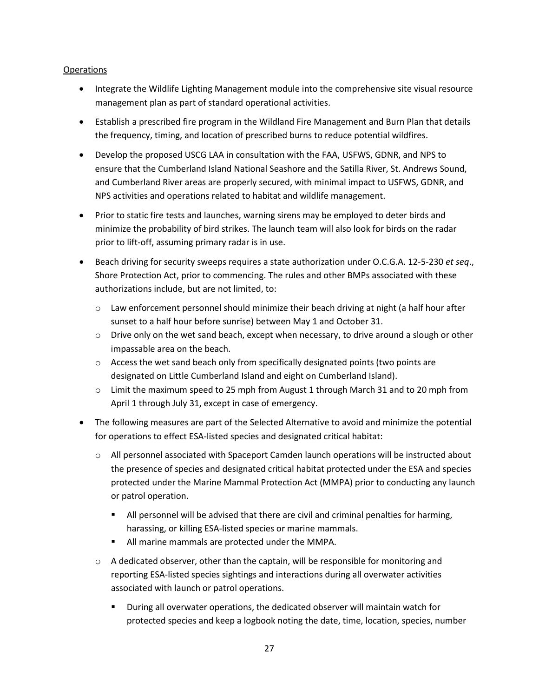#### **Operations**

- Integrate the Wildlife Lighting Management module into the comprehensive site visual resource management plan as part of standard operational activities.
- Establish a prescribed fire program in the Wildland Fire Management and Burn Plan that details the frequency, timing, and location of prescribed burns to reduce potential wildfires.
- Develop the proposed USCG LAA in consultation with the FAA, USFWS, GDNR, and NPS to ensure that the Cumberland Island National Seashore and the Satilla River, St. Andrews Sound, and Cumberland River areas are properly secured, with minimal impact to USFWS, GDNR, and NPS activities and operations related to habitat and wildlife management.
- Prior to static fire tests and launches, warning sirens may be employed to deter birds and minimize the probability of bird strikes. The launch team will also look for birds on the radar prior to lift-off, assuming primary radar is in use.
- Beach driving for security sweeps requires a state authorization under O.C.G.A. 12-5-230 *et seq*., Shore Protection Act, prior to commencing. The rules and other BMPs associated with these authorizations include, but are not limited, to:
	- $\circ$  Law enforcement personnel should minimize their beach driving at night (a half hour after sunset to a half hour before sunrise) between May 1 and October 31.
	- $\circ$  Drive only on the wet sand beach, except when necessary, to drive around a slough or other impassable area on the beach.
	- $\circ$  Access the wet sand beach only from specifically designated points (two points are designated on Little Cumberland Island and eight on Cumberland Island).
	- o Limit the maximum speed to 25 mph from August 1 through March 31 and to 20 mph from April 1 through July 31, except in case of emergency.
- The following measures are part of the Selected Alternative to avoid and minimize the potential for operations to effect ESA-listed species and designated critical habitat:
	- o All personnel associated with Spaceport Camden launch operations will be instructed about the presence of species and designated critical habitat protected under the ESA and species protected under the Marine Mammal Protection Act (MMPA) prior to conducting any launch or patrol operation.
		- **All personnel will be advised that there are civil and criminal penalties for harming,** harassing, or killing ESA-listed species or marine mammals.
		- **All marine mammals are protected under the MMPA.**
	- $\circ$  A dedicated observer, other than the captain, will be responsible for monitoring and reporting ESA-listed species sightings and interactions during all overwater activities associated with launch or patrol operations.
		- During all overwater operations, the dedicated observer will maintain watch for protected species and keep a logbook noting the date, time, location, species, number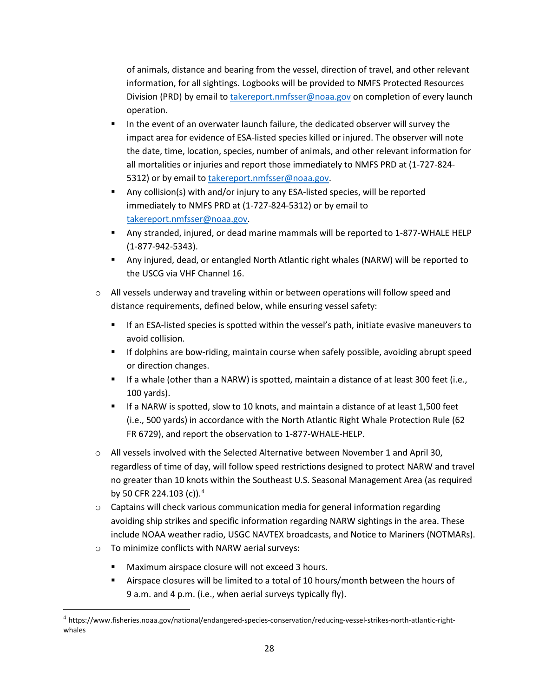of animals, distance and bearing from the vessel, direction of travel, and other relevant information, for all sightings. Logbooks will be provided to NMFS Protected Resources Division (PRD) by email t[o takereport.nmfsser@noaa.gov](mailto:takereport.nmfsser@noaa.gov) on completion of every launch operation.

- In the event of an overwater launch failure, the dedicated observer will survey the impact area for evidence of ESA-listed species killed or injured. The observer will note the date, time, location, species, number of animals, and other relevant information for all mortalities or injuries and report those immediately to NMFS PRD at (1-727-824- 5312) or by email t[o takereport.nmfsser@noaa.gov.](mailto:takereport.nmfsser@noaa.gov)
- **Any collision(s) with and/or injury to any ESA-listed species, will be reported** immediately to NMFS PRD at (1-727-824-5312) or by email to [takereport.nmfsser@noaa.gov.](mailto:takereport.nmfsser@noaa.gov)
- Any stranded, injured, or dead marine mammals will be reported to 1-877-WHALE HELP (1-877-942-5343).
- Any injured, dead, or entangled North Atlantic right whales (NARW) will be reported to the USCG via VHF Channel 16.
- $\circ$  All vessels underway and traveling within or between operations will follow speed and distance requirements, defined below, while ensuring vessel safety:
	- If an ESA-listed species is spotted within the vessel's path, initiate evasive maneuvers to avoid collision.
	- If dolphins are bow-riding, maintain course when safely possible, avoiding abrupt speed or direction changes.
	- If a whale (other than a NARW) is spotted, maintain a distance of at least 300 feet (i.e., 100 yards).
	- **If a NARW is spotted, slow to 10 knots, and maintain a distance of at least 1,500 feet** (i.e., 500 yards) in accordance with the North Atlantic Right Whale Protection Rule (62 FR 6729), and report the observation to 1-877-WHALE-HELP.
- $\circ$  All vessels involved with the Selected Alternative between November 1 and April 30, regardless of time of day, will follow speed restrictions designed to protect NARW and travel no greater than 10 knots within the Southeast U.S. Seasonal Management Area (as required by 50 CFR 22[4](#page-27-0).103 (c)).<sup>4</sup>
- $\circ$  Captains will check various communication media for general information regarding avoiding ship strikes and specific information regarding NARW sightings in the area. These include NOAA weather radio, USGC NAVTEX broadcasts, and Notice to Mariners (NOTMARs).
- o To minimize conflicts with NARW aerial surveys:
	- Maximum airspace closure will not exceed 3 hours.
	- Airspace closures will be limited to a total of 10 hours/month between the hours of 9 a.m. and 4 p.m. (i.e., when aerial surveys typically fly).

<span id="page-27-0"></span> <sup>4</sup> https://www.fisheries.noaa.gov/national/endangered-species-conservation/reducing-vessel-strikes-north-atlantic-rightwhales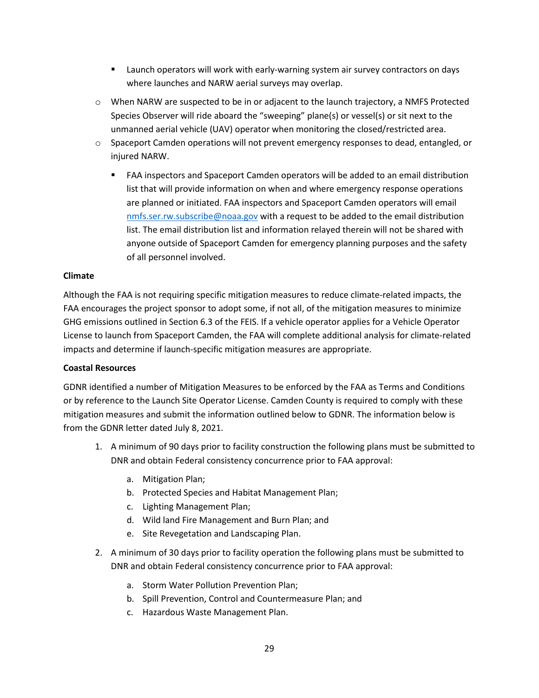- Launch operators will work with early-warning system air survey contractors on days where launches and NARW aerial surveys may overlap.
- o When NARW are suspected to be in or adjacent to the launch trajectory, a NMFS Protected Species Observer will ride aboard the "sweeping" plane(s) or vessel(s) or sit next to the unmanned aerial vehicle (UAV) operator when monitoring the closed/restricted area.
- $\circ$  Spaceport Camden operations will not prevent emergency responses to dead, entangled, or injured NARW.
	- FAA inspectors and Spaceport Camden operators will be added to an email distribution list that will provide information on when and where emergency response operations are planned or initiated. FAA inspectors and Spaceport Camden operators will email [nmfs.ser.rw.subscribe@noaa.gov](mailto:nmfs.ser.rw.subscribe@noaa.gov) with a request to be added to the email distribution list. The email distribution list and information relayed therein will not be shared with anyone outside of Spaceport Camden for emergency planning purposes and the safety of all personnel involved.

### **Climate**

Although the FAA is not requiring specific mitigation measures to reduce climate-related impacts, the FAA encourages the project sponsor to adopt some, if not all, of the mitigation measures to minimize GHG emissions outlined in Section 6.3 of the FEIS. If a vehicle operator applies for a Vehicle Operator License to launch from Spaceport Camden, the FAA will complete additional analysis for climate-related impacts and determine if launch-specific mitigation measures are appropriate.

### **Coastal Resources**

GDNR identified a number of Mitigation Measures to be enforced by the FAA as Terms and Conditions or by reference to the Launch Site Operator License. Camden County is required to comply with these mitigation measures and submit the information outlined below to GDNR. The information below is from the GDNR letter dated July 8, 2021.

- 1. A minimum of 90 days prior to facility construction the following plans must be submitted to DNR and obtain Federal consistency concurrence prior to FAA approval:
	- a. Mitigation Plan;
	- b. Protected Species and Habitat Management Plan;
	- c. Lighting Management Plan;
	- d. Wild land Fire Management and Burn Plan; and
	- e. Site Revegetation and Landscaping Plan.
- 2. A minimum of 30 days prior to facility operation the following plans must be submitted to DNR and obtain Federal consistency concurrence prior to FAA approval:
	- a. Storm Water Pollution Prevention Plan;
	- b. Spill Prevention, Control and Countermeasure Plan; and
	- c. Hazardous Waste Management Plan.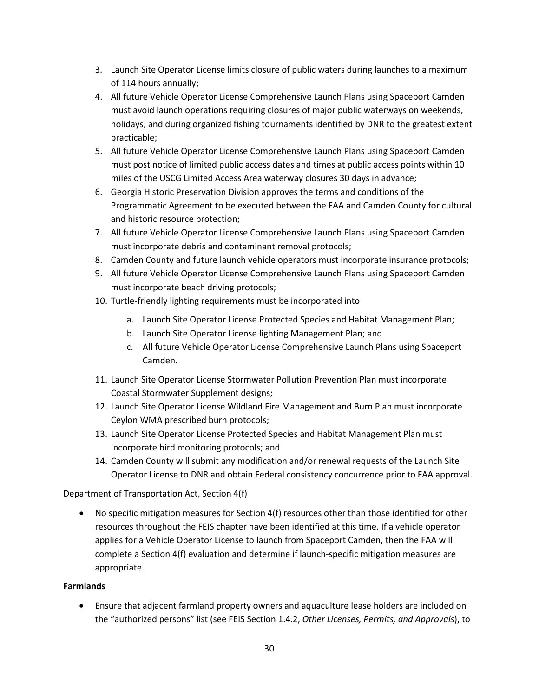- 3. Launch Site Operator License limits closure of public waters during launches to a maximum of 114 hours annually;
- 4. All future Vehicle Operator License Comprehensive Launch Plans using Spaceport Camden must avoid launch operations requiring closures of major public waterways on weekends, holidays, and during organized fishing tournaments identified by DNR to the greatest extent practicable;
- 5. All future Vehicle Operator License Comprehensive Launch Plans using Spaceport Camden must post notice of limited public access dates and times at public access points within 10 miles of the USCG Limited Access Area waterway closures 30 days in advance;
- 6. Georgia Historic Preservation Division approves the terms and conditions of the Programmatic Agreement to be executed between the FAA and Camden County for cultural and historic resource protection;
- 7. All future Vehicle Operator License Comprehensive Launch Plans using Spaceport Camden must incorporate debris and contaminant removal protocols;
- 8. Camden County and future launch vehicle operators must incorporate insurance protocols;
- 9. All future Vehicle Operator License Comprehensive Launch Plans using Spaceport Camden must incorporate beach driving protocols;
- 10. Turtle-friendly lighting requirements must be incorporated into
	- a. Launch Site Operator License Protected Species and Habitat Management Plan;
	- b. Launch Site Operator License lighting Management Plan; and
	- c. All future Vehicle Operator License Comprehensive Launch Plans using Spaceport Camden.
- 11. Launch Site Operator License Stormwater Pollution Prevention Plan must incorporate Coastal Stormwater Supplement designs;
- 12. Launch Site Operator License Wildland Fire Management and Burn Plan must incorporate Ceylon WMA prescribed burn protocols;
- 13. Launch Site Operator License Protected Species and Habitat Management Plan must incorporate bird monitoring protocols; and
- 14. Camden County will submit any modification and/or renewal requests of the Launch Site Operator License to DNR and obtain Federal consistency concurrence prior to FAA approval.

## Department of Transportation Act, Section 4(f)

• No specific mitigation measures for Section 4(f) resources other than those identified for other resources throughout the FEIS chapter have been identified at this time. If a vehicle operator applies for a Vehicle Operator License to launch from Spaceport Camden, then the FAA will complete a Section 4(f) evaluation and determine if launch-specific mitigation measures are appropriate.

## **Farmlands**

• Ensure that adjacent farmland property owners and aquaculture lease holders are included on the "authorized persons" list (see FEIS Section 1.4.2, *Other Licenses, Permits, and Approvals*), to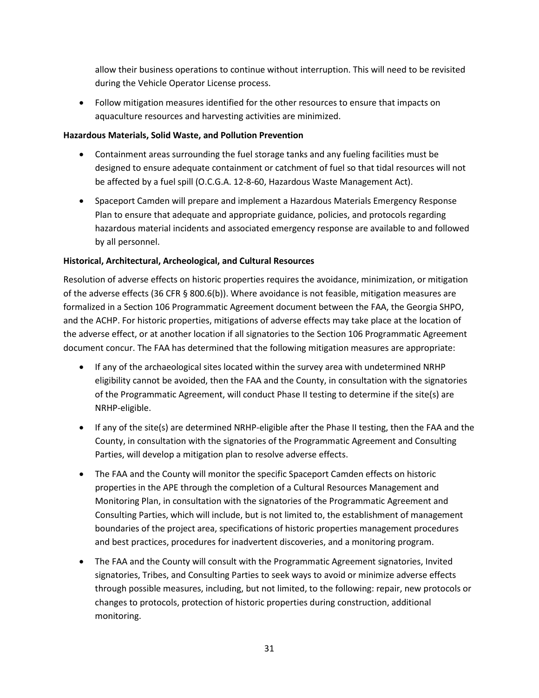allow their business operations to continue without interruption. This will need to be revisited during the Vehicle Operator License process.

• Follow mitigation measures identified for the other resources to ensure that impacts on aquaculture resources and harvesting activities are minimized.

### **Hazardous Materials, Solid Waste, and Pollution Prevention**

- Containment areas surrounding the fuel storage tanks and any fueling facilities must be designed to ensure adequate containment or catchment of fuel so that tidal resources will not be affected by a fuel spill (O.C.G.A. 12-8-60, Hazardous Waste Management Act).
- Spaceport Camden will prepare and implement a Hazardous Materials Emergency Response Plan to ensure that adequate and appropriate guidance, policies, and protocols regarding hazardous material incidents and associated emergency response are available to and followed by all personnel.

## **Historical, Architectural, Archeological, and Cultural Resources**

Resolution of adverse effects on historic properties requires the avoidance, minimization, or mitigation of the adverse effects (36 CFR § 800.6(b)). Where avoidance is not feasible, mitigation measures are formalized in a Section 106 Programmatic Agreement document between the FAA, the Georgia SHPO, and the ACHP. For historic properties, mitigations of adverse effects may take place at the location of the adverse effect, or at another location if all signatories to the Section 106 Programmatic Agreement document concur. The FAA has determined that the following mitigation measures are appropriate:

- If any of the archaeological sites located within the survey area with undetermined NRHP eligibility cannot be avoided, then the FAA and the County, in consultation with the signatories of the Programmatic Agreement, will conduct Phase II testing to determine if the site(s) are NRHP-eligible.
- If any of the site(s) are determined NRHP-eligible after the Phase II testing, then the FAA and the County, in consultation with the signatories of the Programmatic Agreement and Consulting Parties, will develop a mitigation plan to resolve adverse effects.
- The FAA and the County will monitor the specific Spaceport Camden effects on historic properties in the APE through the completion of a Cultural Resources Management and Monitoring Plan, in consultation with the signatories of the Programmatic Agreement and Consulting Parties, which will include, but is not limited to, the establishment of management boundaries of the project area, specifications of historic properties management procedures and best practices, procedures for inadvertent discoveries, and a monitoring program.
- The FAA and the County will consult with the Programmatic Agreement signatories, Invited signatories, Tribes, and Consulting Parties to seek ways to avoid or minimize adverse effects through possible measures, including, but not limited, to the following: repair, new protocols or changes to protocols, protection of historic properties during construction, additional monitoring.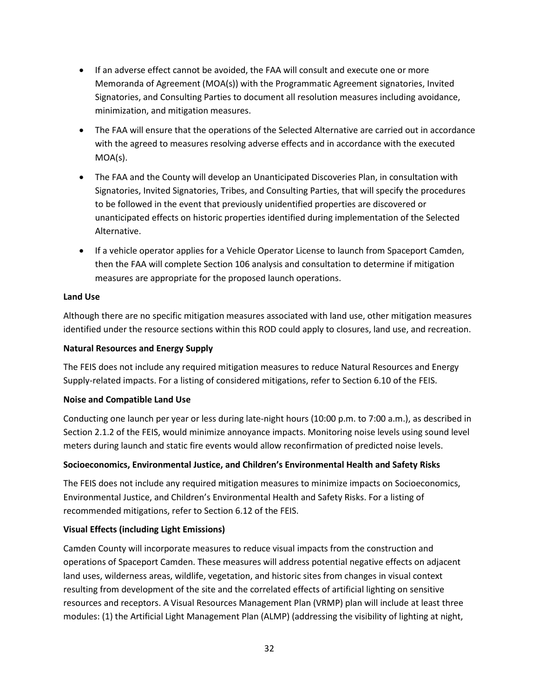- If an adverse effect cannot be avoided, the FAA will consult and execute one or more Memoranda of Agreement (MOA(s)) with the Programmatic Agreement signatories, Invited Signatories, and Consulting Parties to document all resolution measures including avoidance, minimization, and mitigation measures.
- The FAA will ensure that the operations of the Selected Alternative are carried out in accordance with the agreed to measures resolving adverse effects and in accordance with the executed MOA(s).
- The FAA and the County will develop an Unanticipated Discoveries Plan, in consultation with Signatories, Invited Signatories, Tribes, and Consulting Parties, that will specify the procedures to be followed in the event that previously unidentified properties are discovered or unanticipated effects on historic properties identified during implementation of the Selected Alternative.
- If a vehicle operator applies for a Vehicle Operator License to launch from Spaceport Camden, then the FAA will complete Section 106 analysis and consultation to determine if mitigation measures are appropriate for the proposed launch operations.

### **Land Use**

Although there are no specific mitigation measures associated with land use, other mitigation measures identified under the resource sections within this ROD could apply to closures, land use, and recreation.

### **Natural Resources and Energy Supply**

The FEIS does not include any required mitigation measures to reduce Natural Resources and Energy Supply-related impacts. For a listing of considered mitigations, refer to Section 6.10 of the FEIS.

### **Noise and Compatible Land Use**

Conducting one launch per year or less during late-night hours (10:00 p.m. to 7:00 a.m.), as described in Section 2.1.2 of the FEIS, would minimize annoyance impacts. Monitoring noise levels using sound level meters during launch and static fire events would allow reconfirmation of predicted noise levels.

## **Socioeconomics, Environmental Justice, and Children's Environmental Health and Safety Risks**

The FEIS does not include any required mitigation measures to minimize impacts on Socioeconomics, Environmental Justice, and Children's Environmental Health and Safety Risks. For a listing of recommended mitigations, refer to Section 6.12 of the FEIS.

## **Visual Effects (including Light Emissions)**

Camden County will incorporate measures to reduce visual impacts from the construction and operations of Spaceport Camden. These measures will address potential negative effects on adjacent land uses, wilderness areas, wildlife, vegetation, and historic sites from changes in visual context resulting from development of the site and the correlated effects of artificial lighting on sensitive resources and receptors. A Visual Resources Management Plan (VRMP) plan will include at least three modules: (1) the Artificial Light Management Plan (ALMP) (addressing the visibility of lighting at night,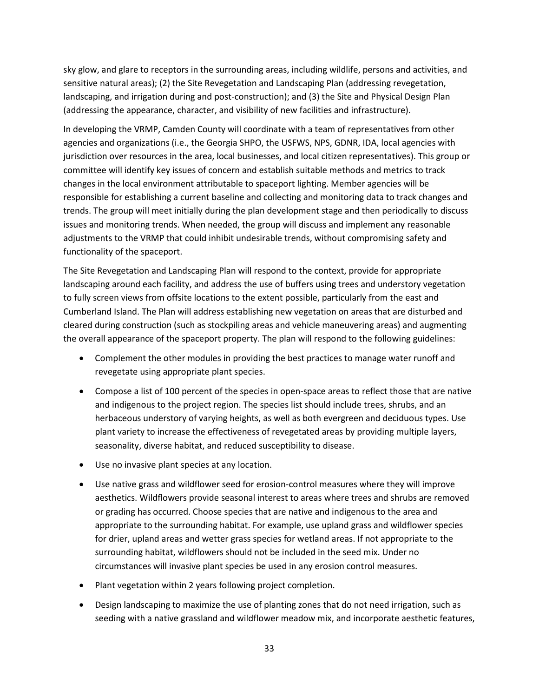sky glow, and glare to receptors in the surrounding areas, including wildlife, persons and activities, and sensitive natural areas); (2) the Site Revegetation and Landscaping Plan (addressing revegetation, landscaping, and irrigation during and post-construction); and (3) the Site and Physical Design Plan (addressing the appearance, character, and visibility of new facilities and infrastructure).

In developing the VRMP, Camden County will coordinate with a team of representatives from other agencies and organizations (i.e., the Georgia SHPO, the USFWS, NPS, GDNR, IDA, local agencies with jurisdiction over resources in the area, local businesses, and local citizen representatives). This group or committee will identify key issues of concern and establish suitable methods and metrics to track changes in the local environment attributable to spaceport lighting. Member agencies will be responsible for establishing a current baseline and collecting and monitoring data to track changes and trends. The group will meet initially during the plan development stage and then periodically to discuss issues and monitoring trends. When needed, the group will discuss and implement any reasonable adjustments to the VRMP that could inhibit undesirable trends, without compromising safety and functionality of the spaceport.

The Site Revegetation and Landscaping Plan will respond to the context, provide for appropriate landscaping around each facility, and address the use of buffers using trees and understory vegetation to fully screen views from offsite locations to the extent possible, particularly from the east and Cumberland Island. The Plan will address establishing new vegetation on areas that are disturbed and cleared during construction (such as stockpiling areas and vehicle maneuvering areas) and augmenting the overall appearance of the spaceport property. The plan will respond to the following guidelines:

- Complement the other modules in providing the best practices to manage water runoff and revegetate using appropriate plant species.
- Compose a list of 100 percent of the species in open-space areas to reflect those that are native and indigenous to the project region. The species list should include trees, shrubs, and an herbaceous understory of varying heights, as well as both evergreen and deciduous types. Use plant variety to increase the effectiveness of revegetated areas by providing multiple layers, seasonality, diverse habitat, and reduced susceptibility to disease.
- Use no invasive plant species at any location.
- Use native grass and wildflower seed for erosion-control measures where they will improve aesthetics. Wildflowers provide seasonal interest to areas where trees and shrubs are removed or grading has occurred. Choose species that are native and indigenous to the area and appropriate to the surrounding habitat. For example, use upland grass and wildflower species for drier, upland areas and wetter grass species for wetland areas. If not appropriate to the surrounding habitat, wildflowers should not be included in the seed mix. Under no circumstances will invasive plant species be used in any erosion control measures.
- Plant vegetation within 2 years following project completion.
- Design landscaping to maximize the use of planting zones that do not need irrigation, such as seeding with a native grassland and wildflower meadow mix, and incorporate aesthetic features,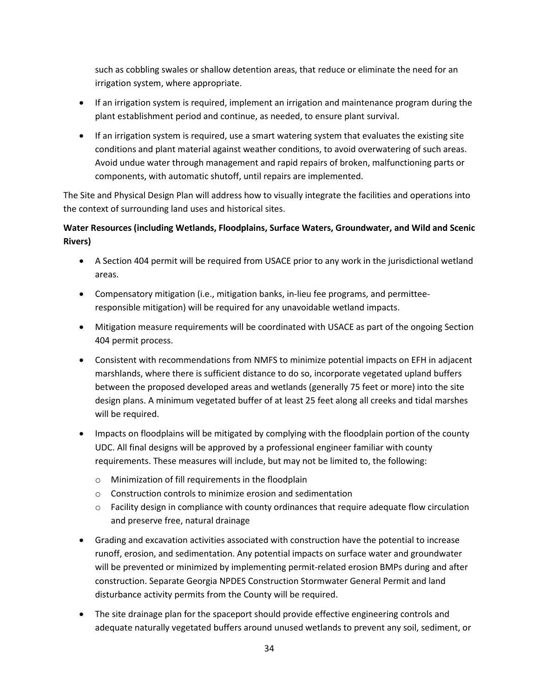such as cobbling swales or shallow detention areas, that reduce or eliminate the need for an irrigation system, where appropriate.

- If an irrigation system is required, implement an irrigation and maintenance program during the plant establishment period and continue, as needed, to ensure plant survival.
- If an irrigation system is required, use a smart watering system that evaluates the existing site conditions and plant material against weather conditions, to avoid overwatering of such areas. Avoid undue water through management and rapid repairs of broken, malfunctioning parts or components, with automatic shutoff, until repairs are implemented.

The Site and Physical Design Plan will address how to visually integrate the facilities and operations into the context of surrounding land uses and historical sites.

## **Water Resources (including Wetlands, Floodplains, Surface Waters, Groundwater, and Wild and Scenic Rivers)**

- A Section 404 permit will be required from USACE prior to any work in the jurisdictional wetland areas.
- Compensatory mitigation (i.e., mitigation banks, in-lieu fee programs, and permitteeresponsible mitigation) will be required for any unavoidable wetland impacts.
- Mitigation measure requirements will be coordinated with USACE as part of the ongoing Section 404 permit process.
- Consistent with recommendations from NMFS to minimize potential impacts on EFH in adjacent marshlands, where there is sufficient distance to do so, incorporate vegetated upland buffers between the proposed developed areas and wetlands (generally 75 feet or more) into the site design plans. A minimum vegetated buffer of at least 25 feet along all creeks and tidal marshes will be required.
- Impacts on floodplains will be mitigated by complying with the floodplain portion of the county UDC. All final designs will be approved by a professional engineer familiar with county requirements. These measures will include, but may not be limited to, the following:
	- o Minimization of fill requirements in the floodplain
	- o Construction controls to minimize erosion and sedimentation
	- $\circ$  Facility design in compliance with county ordinances that require adequate flow circulation and preserve free, natural drainage
- Grading and excavation activities associated with construction have the potential to increase runoff, erosion, and sedimentation. Any potential impacts on surface water and groundwater will be prevented or minimized by implementing permit-related erosion BMPs during and after construction. Separate Georgia NPDES Construction Stormwater General Permit and land disturbance activity permits from the County will be required.
- The site drainage plan for the spaceport should provide effective engineering controls and adequate naturally vegetated buffers around unused wetlands to prevent any soil, sediment, or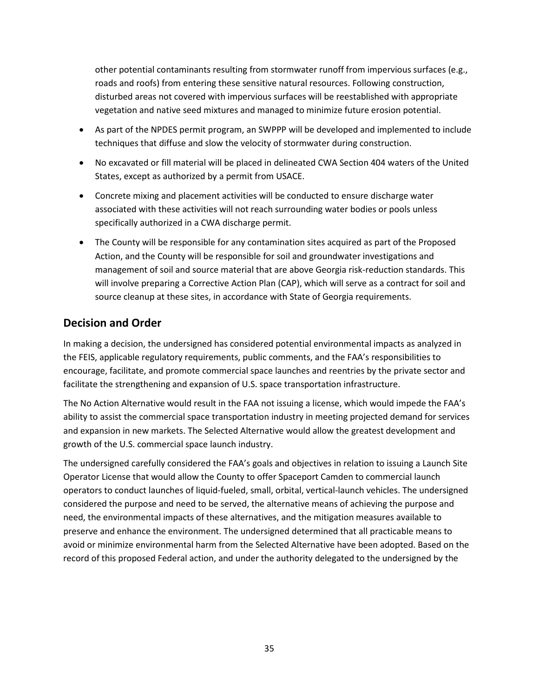other potential contaminants resulting from stormwater runoff from impervious surfaces (e.g., roads and roofs) from entering these sensitive natural resources. Following construction, disturbed areas not covered with impervious surfaces will be reestablished with appropriate vegetation and native seed mixtures and managed to minimize future erosion potential.

- As part of the NPDES permit program, an SWPPP will be developed and implemented to include techniques that diffuse and slow the velocity of stormwater during construction.
- No excavated or fill material will be placed in delineated CWA Section 404 waters of the United States, except as authorized by a permit from USACE.
- Concrete mixing and placement activities will be conducted to ensure discharge water associated with these activities will not reach surrounding water bodies or pools unless specifically authorized in a CWA discharge permit.
- The County will be responsible for any contamination sites acquired as part of the Proposed Action, and the County will be responsible for soil and groundwater investigations and management of soil and source material that are above Georgia risk-reduction standards. This will involve preparing a Corrective Action Plan (CAP), which will serve as a contract for soil and source cleanup at these sites, in accordance with State of Georgia requirements.

## **Decision and Order**

In making a decision, the undersigned has considered potential environmental impacts as analyzed in the FEIS, applicable regulatory requirements, public comments, and the FAA's responsibilities to encourage, facilitate, and promote commercial space launches and reentries by the private sector and facilitate the strengthening and expansion of U.S. space transportation infrastructure.

The No Action Alternative would result in the FAA not issuing a license, which would impede the FAA's ability to assist the commercial space transportation industry in meeting projected demand for services and expansion in new markets. The Selected Alternative would allow the greatest development and growth of the U.S. commercial space launch industry.

The undersigned carefully considered the FAA's goals and objectives in relation to issuing a Launch Site Operator License that would allow the County to offer Spaceport Camden to commercial launch operators to conduct launches of liquid-fueled, small, orbital, vertical-launch vehicles. The undersigned considered the purpose and need to be served, the alternative means of achieving the purpose and need, the environmental impacts of these alternatives, and the mitigation measures available to preserve and enhance the environment. The undersigned determined that all practicable means to avoid or minimize environmental harm from the Selected Alternative have been adopted. Based on the record of this proposed Federal action, and under the authority delegated to the undersigned by the